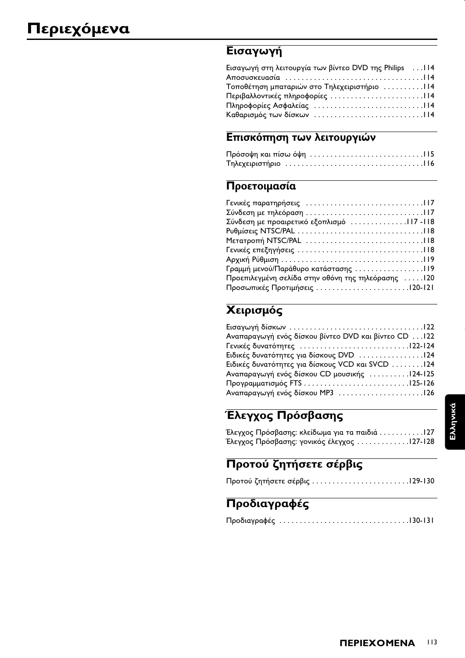# Εισαγωγή

| Εισαγωγή στη λειτουργία των βίντεο DVD της Philips  114 |  |
|---------------------------------------------------------|--|
|                                                         |  |
| Τοποθέτηση μπαταριών στο Τηλεχειριστήριο 114            |  |
|                                                         |  |
|                                                         |  |
|                                                         |  |

# Επισκόπηση των λειτουργιών

# Προετοιμασία

| Σύνδεση με προαιρετικό εξοπλισμό117-118            |  |
|----------------------------------------------------|--|
|                                                    |  |
|                                                    |  |
|                                                    |  |
|                                                    |  |
| Γραμμή μενού/Παράθυρο κατάστασης 119               |  |
| Προεπιλεγμένη σελίδα στην οθόνη της τηλεόρασης 120 |  |
|                                                    |  |

# Χειρισμός

| Αναπαραγωγή ενός δίσκου βίντεο DVD και βίντεο CD  122 |
|-------------------------------------------------------|
|                                                       |
| Ειδικές δυνατότητες για δίσκους DVD 124               |
| Ειδικές δυνατότητες για δίσκους VCD και SVCD 124      |
| Αναπαραγωγή ενός δίσκου CD μουσικής 124-125           |
|                                                       |
| Αναπαραγωγή ενός δίσκου MP3 126                       |
|                                                       |

# Έλεγχος Πρόσβασης

| Έλεγχος Πρόσβασης: κλείδωμα για τα παιδιά127 |  |
|----------------------------------------------|--|
| Έλεγχος Πρόσβασης: γονικός έλεγχος 127-128   |  |

# Προτού ζητήσετε σέρβις

|--|--|

# Προδιαγραφές

|--|--|--|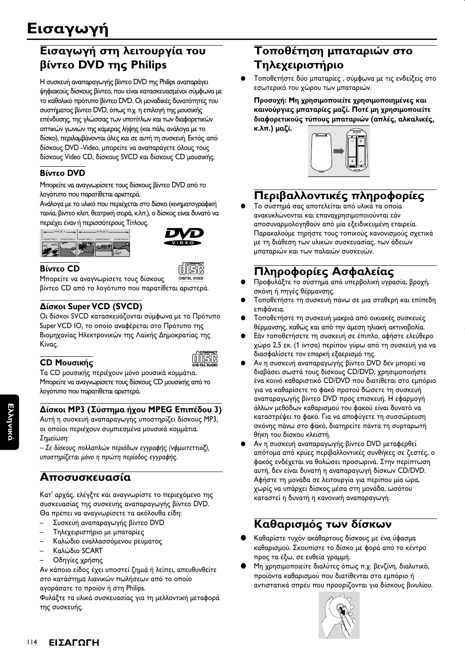# Εισαγωγή στη λειτουργία του βίντεο DVD της Philips

Η συσκευή αναπαραγωγής βίντεο DVD της Philips αναπαράγει ψηφιακούς δίσκους βίντεο, που είναι κατασκευασμένοι σύμφωνα με το καθολικό πρότυπο βίντεο DVD. Οι μοναδικές δυνατότητες του συστήματος βίντεο DVD, όπως π.χ. η επιλογή της μουσικής επένδυσης, της γλώσσας των υποτίτλων και των διαφορετικών οπτικών γωνιών της κάμερας λήψης (και πάλι, ανάλογα με το δίσκο), περιλαμβάνονται όλες και σε αυτή τη συσκευή. Εκτός από δίσκους DVD - Video, μπορείτε να αναπαράγετε όλους τους δίσκους Video CD, δίσκους SVCD και δίσκους CD μουσικής.

## **Βίντεο DVD**

Μπορείτε να αναγνωρίσετε τους δίσκους βίντεο DVD από το λογότυπο που παρατίθεται αριστερά.

Ανάλογα με το υλικό που περιέχεται στο δίσκο (κινηματογραφική ταινία, βίντεο κλιπ, θεατρική σειρά, κ.λπ.), ο δίσκος είναι δυνατό να περιέχει έναν ή περισσότερους Τίτλους.





## Βίντεο CD

Μπορείτε να αναγνωρίσετε τους δίσκους βίντεο CD από το λογότυπο που παρατίθεται αριστερά.

## Δίσκοι Super VCD (SVCD)

Οι δίσκοι SVCD κατασκευάζονται σύμφωνα με το Πρότυπο Super VCD IO, το οποίο αναφέρεται στο Πρότυπο της Βιομηχανίας Ηλεκτρονικών της Λαϊκής Δημοκρατίας της Κίνας.

| ٠<br>e e<br>o. |
|----------------|
|                |

CD Μουσικής Τα CD μουσικής περιέχουν μόνο μουσικά κομμάτια. Μπορείτε να αναγνωρίσετε τους δίσκους CD μουσικής από το λογότυπο που παρατίθεται αριστερά.

## Δίσκοι MP3 (Σύστημα ήχου MPEG Επιπέδου 3)

Αυτή η συσκευή αναπαραγωγής υποστηρίζει δίσκους ΜΡ3, οι οποίοι περιέχουν συμπιεσμένα μουσικά κομμάτια. Σημείωση:

- Σε δίσκους πολλαπλών περιόδων εγγραφής (νφμυιτεττιοξ), υποστηρίζεται μόνο η πρώτη περίοδος εγγραφής.

# Αποσυσκευασία

Κατ' αρχάς, ελέγξτε και αναγνωρίστε το περιεχόμενο της συσκευασίας της συσκευής αναπαραγωγής βίντεο DVD. Θα πρέπει να αναγνωρίσετε τα ακόλουθα είδη:

- Συσκευή αναπαραγωγής βίντεο DVD
- Τηλεχειριστήριο με μπαταρίες
- Καλώδιο εναλλασσόμενου ρεύματος
- Καλώδιο SCART
- Οδηγίες χρήσης

Αν κάποιο είδος έχει υποστεί ζημιά ή λείπει, απευθυνθείτε στο κατάστημα λιανικών πωλήσεων από το οποίο αγοράσατε το προϊόν ή στη Philips.

Φυλάξτε τα υλικά συσκευασίας για τη μελλοντική μεταφορά της συσκευής

# Τοποθέτηση μπαταριών στο Τηλεχειριστήριο

Τοποθετήστε δύο μπαταρίες, σύμφωνα με τις ενδείξεις στο εσωτερικό του χώρου των μπαταριών.

Προσοχή: Μη χρησιμοποιείτε χρησιμοποιημένες και καινούργιες μπαταρίες μαζί. Ποτέ μη χρησιμοποιείτε διαφορετικούς τύπους μπαταριών (απλές, αλκαλικές, κ.λπ.) μαζί.



# Περιβαλλοντικές πληροφορίες

Το σύστημά σας αποτελείται από υλικά τα οποία ανακυκλώνονται και επαναχρησιμοποιούνται εάν αποσυναρμολογηθούν από μία εξειδικευμένη εταιρεία. Παρακαλούμε τηρήστε τους τοπικούς κανονισμούς σχετικά με τη διάθεση των υλικών συσκευασίας, των άδειων μπαταριών και των παλαιών συσκευών.

# Πληροφορίες Ασφαλείας

- Προφυλάξτε το σύστημα από υπερβολική υγρασία, βροχή, σκόνη ή πηγές θέρμανσης.
- Τοποθετήστε τη συσκευή πάνω σε μια σταθερή και επίπεδη επιφάνεια.
- Τοποθετήστε τη συσκευή μακριά από οικιακές συσκευές θέρμανσης, καθώς και από την άμεση ηλιακή ακτινοβολία.
- Εάν τοποθετήσετε τη συσκευή σε έπιπλο, αφήστε ελεύθερο χώρο 2,5 εκ. (1 ίντσα) περίπου γύρω από τη συσκευή για να διασφαλίσετε τον επαρκή εξαερισμό της.
- Αν η συσκευή αναπαραγωγής βίντεο DVD δεν μπορεί να διαβάσει σωστά τους δίσκους CD/DVD, χρησιμοποιήστε ένα κοινό καθαριστικό CD/DVD που διατίθεται στο εμπόριο για να καθαρίσετε το φακό προτού δώσετε τη συσκευή αναπαραγωγής βίντεο DVD προς επισκευή. Η εφαρμογή άλλων μεθόδων καθαρισμού του φακού είναι δυνατό να καταστρέψει το φακό. Για να αποφύγετε τη συσσώρευση σκόνης πάνω στο φακό, διατηρείτε πάντα τη συρταρωτή θήκη του δίσκου κλειστή.
- Αν η συσκευή αναπαραγωγής βίντεο DVD μεταφερθεί απότομα από κρύες περιβαλλοντικές συνθήκες σε ζεστές, ο φακός ενδέχεται να θολώσει προσωρινά. Στην περίπτωση αυτή, δεν είναι δυνατή η αναπαραγωγή δίσκων CD/DVD. Αφήστε τη μονάδα σε λειτουργία για περίπου μία ώρα, χωρίς να υπάρχει δίσκος μέσα στη μονάδα, ωσότου καταστεί η δυνατή η κανονική αναπαραγωγή.

# Καθαρισμός των δίσκων

- Καθαρίστε τυχόν ακάθαρτους δίσκους με ένα ύφασμα καθαρισμού. Σκουπίστε το δίσκο με φορά από το κέντρο προς τα έξω, σε ευθεία γραμμή.
- Μη χρησιμοποιείτε διαλύτες όπως π.χ. βενζίνη, διαλυτικό, προϊόντα καθαρισμού που διατίθενται στο εμπόριο ή αντιστατικά σπρέυ που προορίζονται για δίσκους βινυλίου.

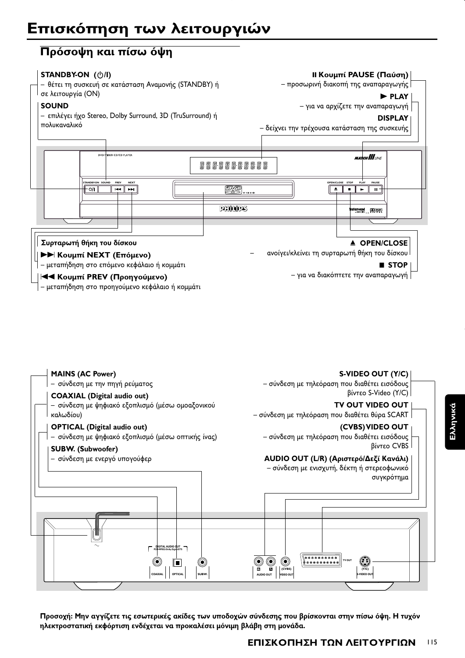## **Πρόσοψη και πίσω όψη**





Προσοχή: Μην αγγίζετε τις εσωτερικές ακίδες των υποδοχών σύνδεσης που βρίσκονται στην πίσω όψη. Η τυχόν ηλεκτροστατική εκφόρτιση ενδέχεται να προκαλέσει μόνιμη βλάβη στη μονάδα.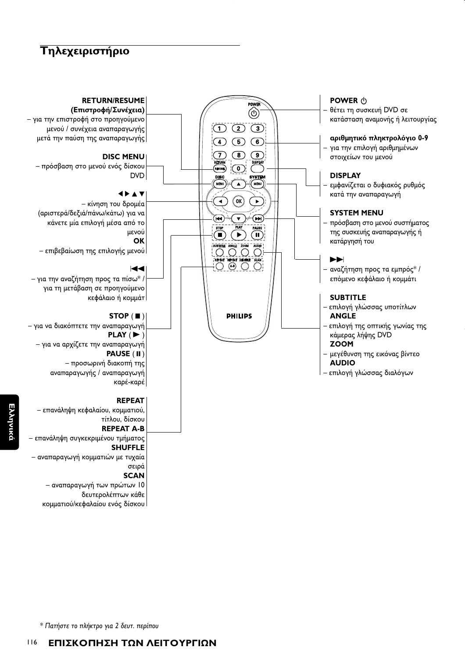# *Tηλεχειριστήριο*



- αναπαραγωγή των πρώτων 10 δευτερολέπτων κάθε κομματιού/κεφαλαίου ενός δίσκου

**E**λληνικά

\* Πατήστε το πλήκτρο για 2 δευτ. περίπου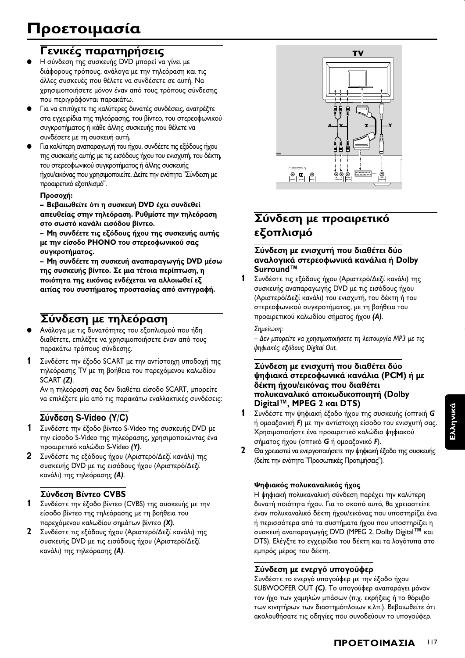# Γενικές παρατηρήσεις

- Η σύνδεση της συσκευής DVD μπορεί να γίνει με διάφορους τρόπους, ανάλογα με την τηλεόραση και τις άλλες συσκευές που θέλετε να συνδέσετε σε αυτή. Να χρησιμοποιήσετε μόνον έναν από τους τρόπους σύνδεσης που περιγράφονται παρακάτω.
- Για να επιτύχετε τις καλύτερες δυνατές συνδέσεις, ανατρέξτε στα εγχειρίδια της τηλεόρασης, του βίντεο, του στερεοφωνικού συγκροτήματος ή κάθε άλλης συσκευής που θέλετε να συνδέσετε με τη συσκευή αυτή.
- Για καλύτερη αναπαραγωγή του ήχου, συνδέετε τις εξόδους ήχου της συσκευής αυτής με τις εισόδους ήχου του ενισχυτή, του δέκτη, του στερεοφωνικού συγκροτήματος ή άλλης συσκευής ήχου/εικόνας που χρησιμοποιείτε. Δείτε την ενότητα "Σύνδεση με προαιρετικό εξοπλισμό".

#### Προσοχή:

- Βεβαιωθείτε ότι η συσκευή DVD έχει συνδεθεί απευθείας στην τηλεόραση. Ρυθμίστε την τηλεόραση στο σωστό κανάλι εισόδου βίντεο.

- Μη συνδέετε τις εξόδους ήχου της συσκευής αυτής με την είσοδο PHONO του στερεοφωνικού σας συγκροτήματος.

- Μη συνδέετε τη συσκευή αναπαραγωγής DVD μέσω της συσκευής βίντεο. Σε μια τέτοια περίπτωση, η ποιότητα της εικόνας ενδέχεται να αλλοιωθεί εξ αιτίας του συστήματος προστασίας από αντιγραφή.

## Σύνδεση με τηλεόραση

- Ανάλογα με τις δυνατότητες του εξοπλισμού που ήδη διαθέτετε, επιλέξτε να χρησιμοποιήσετε έναν από τους παρακάτω τρόπους σύνδεσης.
- $\mathbf{1}$ Συνδέστε την έξοδο SCART με την αντίστοιχη υποδοχή της τηλεόρασης TV με τη βοήθεια του παρεχόμενου καλωδίου SCART (Z).

Αν η τηλεόρασή σας δεν διαθέτει είσοδο SCART, μπορείτε να επιλέξετε μία από τις παρακάτω εναλλακτικές συνδέσεις:

## Σύνδεση S-Video (Y/C)

- 1 Συνδέστε την έξοδο βίντεο S-Video της συσκευής DVD με την είσοδο S-Video της τηλεόρασης, χρησιμοποιώντας ένα προαιρετικό καλώδιο S-Video (Υ).
- $2^{\circ}$ Συνδέστε τις εξόδους ήχου (Αριστερό/Δεξί κανάλι) της συσκευής DVD με τις εισόδους ήχου (Αριστερό/Δεξί κανάλι) της τηλεόρασης (Α).

## Σύνδεση Βίντεο CVBS

- $\mathbf 1$ Συνδέστε την έξοδο βίντεο (CVBS) της συσκευής με την είσοδο βίντεο της τηλεόρασης με τη βοήθεια του παρεχόμενου καλωδίου σημάτων βίντεο (Χ).
- $\mathbf{2}$ Συνδέστε τις εξόδους ήχου (Αριστερό/Δεξί κανάλι) της συσκευής DVD με τις εισόδους ήχου (Αριστερό/Δεξί κανάλι) της τηλεόρασης (Α).



# Σύνδεση με προαιρετικό εξοπλισμό

### Σύνδεση με ενισχυτή που διαθέτει δύο αναλογικά στερεοφωνικά κανάλια ή Dolby Surround™

 $\mathbf 1$ Συνδέστε τις εξόδους ήχου (Αριστερό/Δεξί κανάλι) της συσκευής αναπαραγωγής DVD με τις εισόδους ήχου (Αριστερό/Δεξί κανάλι) του ενισχυτή, του δέκτη ή του στερεοφωνικού συγκροτήματος, με τη βοήθεια του προαιρετικού καλωδίου σήματος ήχου (Α).

#### Σημείωση:

– Δεν μπορείτε να χρησιμοποιήσετε τη λειτουργία MP3 με τις ψηφιακές εξόδους Digital Out.

#### Σύνδεση με ενισχυτή που διαθέτει δύο ψηφιακά στερεοφωνικά κανάλια (PCM) ή με δέκτη ήχου/εικόνας που διαθέτει πολυκαναλικό αποκωδικοποιητή (Dolby Digital™, MPEG 2 kal DTS)

- $\mathbf{1}$ Συνδέστε την ψηφιακή έξοδο ήχου της συσκευής (οπτική G ή ομοαξονική F) με την αντίστοιχη είσοδο του ενισχυτή σας. Χρησιμοποιήστε ένα προαιρετικό καλώδιο ψηφιακού σήματος ήχου (οπτικό G ή ομοαξονικό F).
- 2 Θα χρειαστεί να ενεργοποιήσετε την ψηφιακή έξοδο της συσκευής (δείτε την ενότητα "Προσωπικές Προτιμήσεις").

## Ψηφιακός πολυκαναλικός ήχος

Η ψηφιακή πολυκαναλική σύνδεση παρέχει την καλύτερη δυνατή ποιότητα ήχου. Για το σκοπό αυτό, θα χρειαστείτε έναν πολυκαναλικό δέκτη ήχου/εικόνας που υποστηρίζει ένα ή περισσότερα από τα συστήματα ήχου που υποστηρίζει η συσκευή αναπαραγωγής DVD (MPEG 2, Dolby Digital<sup>TM</sup> και DTS). Ελέγξτε το εγχειρίδιο του δέκτη και τα λογότυπα στο εμπρός μέρος του δέκτη.

## Σύνδεση με ενεργό υπογούφερ

Συνδέστε το ενεργό υπογούφερ με την έξοδο ήχου SUBWOOFER OUT (C). Το υπογούφερ αναπαράγει μόνον τον ήχο των χαμηλών μπάσων (π.χ. εκρήξεις ή το θόρυβο των κινητήρων των διαστημόπλοιων κ.λπ.). Βεβαιωθείτε ότι ακολουθήσατε τις οδηγίες που συνοδεύουν το υπογούφερ.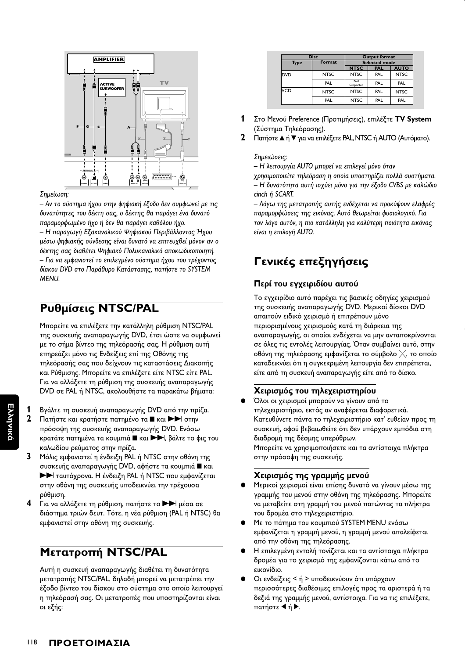

#### Σημείωση:

- Αν το σύστημα ήχου στην ψηφιακή έξοδο δεν συμφωνεί με τις δυνατότητες του δέκτη σας, ο δέκτης θα παράγει ένα δυνατό παραμορφωμένο ήχο ή δεν θα παράγει καθόλου ήχο. - Η παραγωγή Εξακαναλικού Ψηφιακού Περιβάλλοντος Ήχου μέσω ψηφιακής σύνδεσης είναι δυνατό να επιτευχθεί μόνον αν ο δέκτης σας διαθέτει Ψηφιακό Πολυκαναλικό αποκωδικοποιητή. - Για να εμφανιστεί το επιλεγμένο σύστημα ήχου του τρέχοντος δίσκου DVD στο Παράθυρο Κατάστασης, πατήστε το SYSTEM MENU.

# Ρυθμίσεις NTSC/PAL

Μπορείτε να επιλέξετε την κατάλληλη ρύθμιση NTSC/PAL της συσκευής αναπαραγωγής DVD, έτσι ώστε να συμφωνεί με το σήμα βίντεο της τηλεόρασής σας. Η ρύθμιση αυτή επηρεάζει μόνο τις Ενδείξεις επί της Οθόνης της τηλεόρασής σας που δείχνουν τις καταστάσεις Διακοπής και Ρύθμισης. Μπορείτε να επιλέξετε είτε NTSC είτε PAL. Για να αλλάξετε τη ρύθμιση της συσκευής αναπαραγωγής DVD σε PAL ή NTSC, ακολουθήστε τα παρακάτω βήματα:

- Βγάλτε τη συσκευή αναπαραγωγής DVD από την πρίζα.
- $\mathbf{2}$ Πατήστε και κρατήστε πατημένο τα ■ και ▶▶ στην πρόσοψη της συσκευής αναπαραγωγής DVD. Ενόσω κρατάτε πατημένα τα κουμπιά ■ και ▶▶, βάλτε το φις του καλωδίου ρεύματος στην πρίζα.
- $\overline{\mathbf{3}}$ Μόλις εμφανιστεί η ένδειξη PAL ή NTSC στην οθόνη της συσκευής αναπαραγωγής DVD, αφήστε τα κουμπιά **ε** και **>>** ταυτόχρονα. Η ένδειξη PAL ή NTSC που εμφανίζεται στην οθόνη της συσκευής υποδεικνύει την τρέχουσα ρύθμιση.
- $\blacktriangle$ Για να αλλάξετε τη ρύθμιση, πατήστε το  $\blacktriangleright\blacktriangleright$  μέσα σε διάστημα τριών δευτ. Τότε, η νέα ρύθμιση (PAL ή NTSC) θα εμφανιστεί στην οθόνη της συσκευής.

## **Μετατροπή NTSC/PAL**

Αυτή η συσκευή αναπαραγωγής διαθέτει τη δυνατότητα μετατροπής NTSC/PAL, δηλαδή μπορεί να μετατρέπει την έξοδο βίντεο του δίσκου στο σύστημα στο οποίο λειτουργεί η τηλεόρασή σας. Οι μετατροπές που υποστηρίζονται είναι οι εξής:

|             | <b>Disc</b> | <b>Output format</b> |            |             |  |  |  |
|-------------|-------------|----------------------|------------|-------------|--|--|--|
| <b>Type</b> | Format      | <b>Selected mode</b> |            |             |  |  |  |
|             |             | <b>NTSC</b>          | <b>PAL</b> | <b>AUTO</b> |  |  |  |
| <b>DVD</b>  | <b>NTSC</b> | <b>NTSC</b>          | PAL        | <b>NTSC</b> |  |  |  |
|             | PAL         | Not<br>Supported     | PAL        | PAL         |  |  |  |
| VCD         | <b>NTSC</b> | <b>NTSC</b>          | PAL        | <b>NTSC</b> |  |  |  |
|             | PAL         | <b>NTSC</b>          | PAL        | PAL         |  |  |  |

- 1 Στο Μενού Preference (Προτιμήσεις), επιλέξτε TV System (Σύστημα Τηλεόρασης).
- $\mathbf{2}$ Πατήστε ▲ ή ▼ για να επιλέξετε PAL, NTSC ή AUTO (Αυτόματο).

#### Σημειώσεις:

- Η λειτουργία AUTO μπορεί να επιλεγεί μόνο όταν χρησιμοποιείτε τηλεόραση η οποία υποστηρίζει πολλά συστήματα. – Η δυνατότητα αυτή ισχύει μόνο για την έξοδο CVBS με καλώδιο cinch ή SCART.

- Λόγω της μετατροπής αυτής ενδέχεται να προκύψουν ελαφρές παραμορφώσεις της εικόνας. Αυτό θεωρείται φυσιολογικό. Για τον λόγο αυτόν, η πιο κατάλληλη για καλύτερη ποιότητα εικόνας είναι η επιλογή AUTO.

# Γενικές επεξηγήσεις

#### Περί του εγχειριδίου αυτού

Το εγχειρίδιο αυτό παρέχει τις βασικές οδηγίες χειρισμού της συσκευής αναπαραγωγής DVD. Μερικοί δίσκοι DVD απαιτούν ειδικό χειρισμό ή επιτρέπουν μόνο περιορισμένους χειρισμούς κατά τη διάρκεια της αναπαραγωγής, οι οποίοι ενδέχεται να μην ανταποκρίνονται σε όλες τις εντολές λειτουργίας. Όταν συμβαίνει αυτό, στην οθόνη της τηλεόρασης εμφανίζεται το σύμβολο  $\times$ , το οποίο καταδεικνύει ότι η συγκεκριμένη λειτουργία δεν επιτρέπεται, είτε από τη συσκευή αναπαραγωγής είτε από το δίσκο.

## Χειρισμός του τηλεχειριστηρίου

Όλοι οι χειρισμοί μπορούν να γίνουν από το τηλεχειριστήριο, εκτός αν αναφέρεται διαφορετικά. Κατευθύνετε πάντα το τηλεχειριστήριο κατ' ευθείαν προς τη συσκευή, αφού βεβαιωθείτε ότι δεν υπάρχουν εμπόδια στη διαδρομή της δέσμης υπερύθρων. Μπορείτε να χρησιμοποιήσετε και τα αντίστοιχα πλήκτρα στην πρόσοψη της συσκευής.

### Χειρισμός της γραμμής μενού

- Μερικοί χειρισμοί είναι επίσης δυνατό να γίνουν μέσω της γραμμής του μενού στην οθόνη της τηλεόρασης. Μπορείτε να μεταβείτε στη γραμμή του μενού πατώντας τα πλήκτρα του δρομέα στο τηλεχειριστήριο.
- Με το πάτημα του κουμπιού SYSTEM MENU ενόσω εμφανίζεται η γραμμή μενού, η γραμμή μενού απαλείφεται από την οθόνη της τηλεόρασης.
- Η επιλεγμένη εντολή τονίζεται και τα αντίστοιχα πλήκτρα δρομέα για το χειρισμό της εμφανίζονται κάτω από το εικονίδιο.
- Οι ενδείξεις < ή > υποδεικνύουν ότι υπάρχουν περισσότερες διαθέσιμες επιλογές προς τα αριστερά ή τα δεξιά της γραμμής μενού, αντίστοιχα. Για να τις επιλέξετε, πατήστε ◀ ή ▶.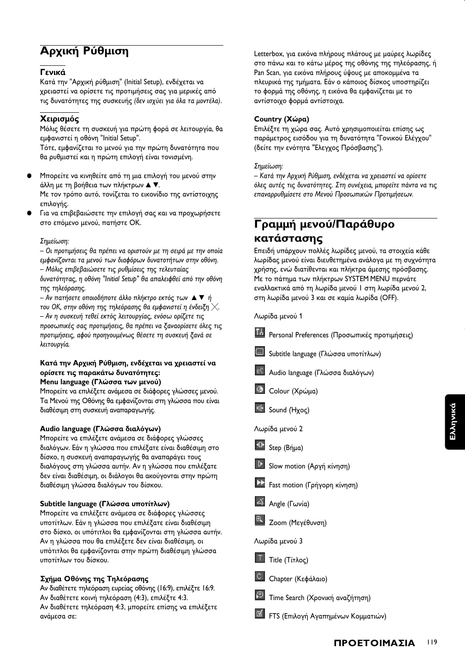# Αρχική Ρύθμιση

### Γενικά

Κατά την "Αρχική ρύθμιση" (Initial Setup), ενδέχεται να χρειαστεί να ορίσετε τις προτιμήσεις σας για μερικές από τις δυνατότητες της συσκευής (δεν ισχύει για όλα τα μοντέλα).

## Χειρισμός

Μόλις θέσετε τη συσκευή για πρώτη φορά σε λειτουργία, θα εμφανιστεί η οθόνη "Initial Setup".

Τότε, εμφανίζεται το μενού για την πρώτη δυνατότητα που θα ρυθμιστεί και η πρώτη επιλογή είναι τονισμένη.

Μπορείτε να κινηθείτε από τη μια επιλογή του μενού στην άλλη με τη βοήθεια των πλήκτρων Δ V. Με τον τρόπο αυτό, τονίζεται το εικονίδιο της αντίστοιχης επιλονής.

Για να επιβεβαιώσετε την επιλογή σας και να προχωρήσετε στο επόμενο μενού, πατήστε ΟΚ.

#### Σημείωση:

- Οι προτιμήσεις θα πρέπει να οριστούν με τη σειρά με την οποία εμφανίζονται τα μενού των διαφόρων δυνατοτήτων στην οθόνη. - Μόλις επιβεβαιώσετε τις ρυθμίσεις της τελευταίας δυνατότητας, η οθόνη "Initial Setup" θα απαλειφθεί από την οθόνη της τηλεόρασης.

- Αν πατήσετε οποιοδήποτε άλλο πλήκτρο εκτός των Δ ▼ ή του ΟΚ, στην οθόνη της τηλεόρασης θα εμφανιστεί η ένδειξη  $\times$ . - Αν η συσκευή τεθεί εκτός λειτουργίας, ενόσω ορίζετε τις προσωπικές σας προτιμήσεις, θα πρέπει να ξαναορίσετε όλες τις προτιμήσεις, αφού προηγουμένως θέσετε τη συσκευή ξανά σε λειτουργία.

#### Κατά την Αρχική Ρύθμιση, ενδέχεται να χρειαστεί να ορίσετε τις παρακάτω δυνατότητες: Menu language (Γλώσσα των μενού)

Μπορείτε να επιλέξετε ανάμεσα σε διάφορες γλώσσες μενού. Τα Μενού της Οθόνης θα εμφανίζονται στη γλώσσα που είναι διαθέσιμη στη συσκευή αναπαραγωγής.

#### Audio language (Γλώσσα διαλόγων)

Μπορείτε να επιλέξετε ανάμεσα σε διάφορες γλώσσες διαλόγων. Εάν η γλώσσα που επιλέξατε είναι διαθέσιμη στο δίσκο, η συσκευή αναπαραγωγής θα αναπαράγει τους διαλόγους στη γλώσσα αυτήν. Αν η γλώσσα που επιλέξατε δεν είναι διαθέσιμη, οι διάλογοι θα ακούγονται στην πρώτη διαθέσιμη γλώσσα διαλόγων του δίσκου.

#### Subtitle language (Γλώσσα υποτίτλων)

Μπορείτε να επιλέξετε ανάμεσα σε διάφορες γλώσσες υποτίτλων. Εάν η γλώσσα που επιλέξατε είναι διαθέσιμη στο δίσκο, οι υπότιτλοι θα εμφανίζονται στη γλώσσα αυτήν. Αν η γλώσσα που θα επιλέξετε δεν είναι διαθέσιμη, οι υπότιτλοι θα εμφανίζονται στην πρώτη διαθέσιμη γλώσσα υποτίτλων του δίσκου.

## Σχήμα Οθόνης της Τηλεόρασης

Αν διαθέτετε τηλεόραση ευρείας οθόνης (16:9), επιλέξτε 16:9. Αν διαθέτετε κοινή τηλεόραση (4:3), επιλέξτε 4:3. Αν διαθέτετε τηλεόραση 4:3, μπορείτε επίσης να επιλέξετε ανάμεσα σε:

Letterbox, για εικόνα πλήρους πλάτους με μαύρες λωρίδες στο πάνω και το κάτω μέρος της οθόνης της τηλεόρασης, ή Pan Scan, για εικόνα πλήρους ύψους με αποκομμένα τα πλευρικά της τμήματα. Εάν ο κάποιος δίσκος υποστηρίζει το φορμά της οθόνης, η εικόνα θα εμφανίζεται με το αντίστοιχο φορμά αντίστοιχα.

#### Country (Χώρα)

Επιλέξτε τη χώρα σας. Αυτό χρησιμοποιείται επίσης ως παράμετρος εισόδου για τη δυνατότητα "Γονικού Ελέγχου" (δείτε την ενότητα "Έλεγχος Πρόσβασης").

#### Σημείωση:

– Κατά την Αρχική Ρύθμιση, ενδέχεται να χρειαστεί να ορίσετε όλες αυτές τις δυνατότητες. Στη συνέχεια, μπορείτε πάντα να τις επαναρρυθμίσετε στο Μενού Προσωπικών Προτιμήσεων.

# Γραμμή μενού/Παράθυρο κατάστασης

Επειδή υπάρχουν πολλές λωρίδες μενού, τα στοιχεία κάθε λωρίδας μενού είναι διευθετημένα ανάλογα με τη συχνότητα χρήσης, ενώ διατίθενται και πλήκτρα άμεσης πρόσβασης. Με το πάτημα των πλήκτρων SYSTEM MENU περνάτε εναλλακτικά από τη λωρίδα μενού | στη λωρίδα μενού 2, στη λωρίδα μενού 3 και σε καμία λωρίδα (OFF).

| Λωρίδα μενού 1                                          |     |
|---------------------------------------------------------|-----|
| 16 Personal Preferences (Προσωπικές προτιμήσεις)        |     |
| Subtitle language (Γλώσσα υποτίτλων)                    |     |
| <sup>((4)</sup> Audio language (Γλώσσα διαλόγων)        |     |
| <b><sup>6</sup></b> Colour (Χρώμα)                      |     |
| <sup>IIG</sup> Sound (Hxoc)                             |     |
| Λωρίδα μενού 2                                          |     |
| <sup>411</sup> Step (Bήμα)                              |     |
| <b>D</b> Slow motion (Αργή κίνηση)                      |     |
| >> Fast motion (Γρήγορη κίνηση)                         |     |
| Angle (Γωνία)                                           |     |
| <sup>4</sup> Zoom (Μεγέθυνση)                           |     |
| Λωρίδα μενού 3                                          |     |
| $\boxed{1}$ Title (Tí $\tau \lambda o \varsigma$ )      |     |
| C Chapter (Κεφάλαιο)                                    |     |
| <sup>19</sup> Time Search (Χρονική αναζήτηση)           |     |
| <u><sup>16</sup></u> FTS (Επιλογή Αγαπημένων Κομματιών) |     |
| ΠΡΟΕΤΟΙΜΑΣΙΑ                                            | 119 |
|                                                         |     |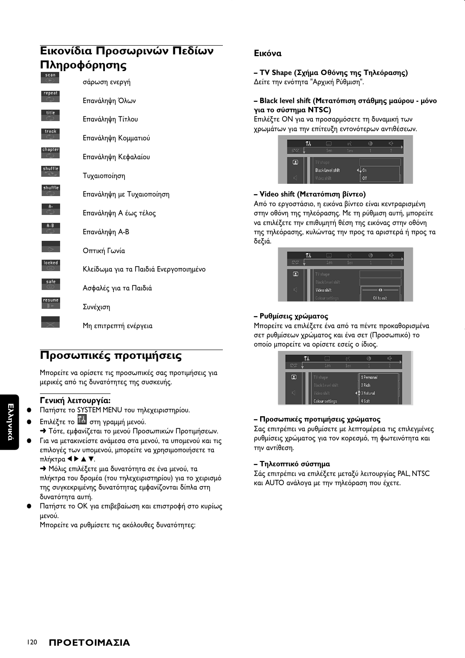# Εικονίδια Προσωρινών Πεδίων Πληροφόρησης scan σάρωση ενεργή Επανάληψη Όλων Επανάληψη Τίτλου Επανάληψη Κομματιού Επανάληψη Κεφαλαίου Τυχαιοποίηση Επανάληψη με Τυχαιοποίηση Επανάληψη Α έως τέλος Επανάληψη Α-Β Οπτική Γωνία Κλείδωμα για τα Παιδιά Ενεργοποιημένο Ασφαλές για τα Παιδιά Συνέχιση Μη επιτρεπτή ενέργεια

# Προσωπικές προτιμήσεις

Μπορείτε να ορίσετε τις προσωπικές σας προτιμήσεις για μερικές από τις δυνατότητες της συσκευής.

## Γενική λειτουργία:

- Πατήστε το SYSTEM MENU του τηλεχειριστηρίου.
- Επιλέξτε το **14** στη γραμμή μενού.
- → Τότε, εμφανίζεται το μενού Προσωπικών Προτιμήσεων.
- Για να μετακινείστε ανάμεσα στα μενού, τα υπομενού και τις επιλογές των υπομενού, μπορείτε να χρησιμοποιήσετε τα πλήκτρα < ▶ ▲ ▼.

> Μόλις επιλέξετε μια δυνατότητα σε ένα μενού, τα πλήκτρα του δρομέα (του τηλεχειριστηρίου) για το χειρισμό της συγκεκριμένης δυνατότητας εμφανίζονται δίπλα στη δυνατότητα αυτή.

Πατήστε το ΟΚ για επιβεβαίωση και επιστροφή στο κυρίως μενού.

Μπορείτε να ρυθμίσετε τις ακόλουθες δυνατότητες:

## Εικόνα

- TV Shape (Σχήμα Οθόνης της Τηλεόρασης) Δείτε την ενότητα "Αρχική Ρύθμιση".

#### - Black level shift (Μετατόπιση στάθμης μαύρου - μόνο για το σύστημα NTSC)

Επιλέξτε ΟΝ για να προσαρμόσετε τη δυναμική των χρωμάτων για την επίτευξη εντονότερων αντιθέσεων.

|   | <b>COMME</b>             |     | œ   |  |
|---|--------------------------|-----|-----|--|
|   | 1en                      | 1en |     |  |
| ▣ | TV shape                 |     |     |  |
|   | <b>Black Level shift</b> |     | 0n  |  |
|   | Video shift              |     | Off |  |

### - Video shift (Μετατόπιση βίντεο)

Από το εργοστάσιο, η εικόνα βίντεο είναι κεντραρισμένη στην οθόνη της τηλεόρασης. Με τη ρύθμιση αυτή, μπορείτε να επιλέξετε την επιθυμητή θέση της εικόνας στην οθόνη της τηλεόρασης, κυλώντας την προς τα αριστερά ή προς τα δεξιά.

|     | ---                                  | żζ  | m          |  |
|-----|--------------------------------------|-----|------------|--|
| DVD | 1en                                  | 1en |            |  |
| ▣   | TV shape<br><b>Black Level shift</b> |     |            |  |
|     | Video shift<br>Colour settings       |     | OK to exit |  |

#### - Ρυθμίσεις χρώματος

Μπορείτε να επιλέξετε ένα από τα πέντε προκαθορισμένα σετ ρυθμίσεων χρώματος και ένα σετ (Προσωπικό) το οποίο μπορείτε να ορίσετε εσείς ο ίδιος.

|     | $\overline{\phantom{a}}$ |     |                         |  |
|-----|--------------------------|-----|-------------------------|--|
| פעס | 1en                      | 1en |                         |  |
| ▣   | TV shape                 |     | 1 Personal              |  |
|     | Black Level shift        |     | 2 Rich                  |  |
| п   | Video shift              |     | $\frac{4}{3}$ 3 Natural |  |
|     | <b>Colour settings</b>   |     | 4 Soft                  |  |

#### – Προσωπικές προτιμήσεις χρώματος

Σας επιτρέπει να ρυθμίσετε με λεπτομέρεια τις επιλεγμένες ρυθμίσεις χρώματος για τον κορεσμό, τη φωτεινότητα και την αντίθεση.

#### - Τηλεοπτικό σύστημα

Σάς επιτρέπει να επιλέξετε μεταξύ λειτουργίας PAL, NTSC και AUTO ανάλογα με την τηλεόραση που έχετε.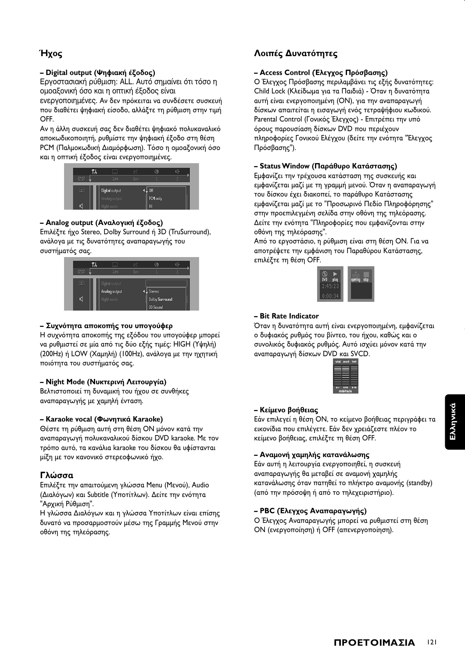## Ήχος

## - Digital output (Ψηφιακή έξοδος)

Εργοστασιακή ρύθμιση: ALL. Αυτό σημαίνει ότι τόσο η ομοαξονική όσο και η οπτική έξοδος είναι

ενεργοποιημένες. Αν δεν πρόκειται να συνδέσετε συσκευή που διαθέτει ψηφιακή είσοδο, αλλάξτε τη ρύθμιση στην τιμή OFF.

Αν η άλλη συσκευή σας δεν διαθέτει ψηφιακό πολυκαναλικό αποκωδικοποιητή, ρυθμίστε την ψηφιακή έξοδο στη θέση ΡΟΜ (Παλμοκωδική Διαμόρφωση). Τόσο η ομοαξονική όσο και η οπτική έξοδος είναι ενεργοποιημένες.



## - Analog output (Αναλογική έξοδος)

Επιλέξτε ήχο Stereo, Dolby Surround ή 3D (TruSurround), ανάλογα με τις δυνατότητες αναπαραγωγής του συστήματός σας.



#### - Συχνότητα αποκοπής του υπογούφερ

Η συχνότητα αποκοπής της εξόδου του υπογούφερ μπορεί να ρυθμιστεί σε μία από τις δύο εξής τιμές: HIGH (Υψηλή) (200Hz) ή LOW (Χαμηλή) (100Hz), ανάλογα με την ηχητική ποιότητα του συστήματός σας.

## - Night Mode (Νυκτερινή Λειτουργία)

Βελτιστοποιεί τη δυναμική του ήχου σε συνθήκες αναπαραγωγής με χαμηλή ένταση.

#### - Karaoke vocal (Φωνητικά Karaoke)

Θέστε τη ρύθμιση αυτή στη θέση ΟΝ μόνον κατά την αναπαραγωγή πολυκαναλικού δίσκου DVD karaoke. Με τον τρόπο αυτό, τα κανάλια karaoke του δίσκου θα υφίστανται μίξη με τον κανονικό στερεοφωνικό ήχο.

## Γλώσσα

Επιλέξτε την απαιτούμενη γλώσσα Menu (Μενού), Audio (Διαλόγων) και Subtitle (Υποτίτλων). Δείτε την ενότητα "Αρχική Ρύθμιση".

Η γλώσσα Διαλόγων και η γλώσσα Υποτίτλων είναι επίσης δυνατό να προσαρμοστούν μέσω της Γραμμής Μενού στην οθόνη της τηλεόρασης.

## Λοιπές Δυνατότητες

### - Access Control (Ελεγχος Πρόσβασης)

Ο Έλεγχος Πρόσβασης περιλαμβάνει τις εξής δυνατότητες: Child Lock (Κλείδωμα για τα Παιδιά) - Όταν η δυνατότητα αυτή είναι ενεργοποιημένη (ON), για την αναπαραγωγή δίσκων απαιτείται η εισαγωγή ενός τετραψήφιου κωδικού. Parental Control (Γονικός Έλεγχος) - Επιτρέπει την υπό όρους παρουσίαση δίσκων DVD που περιέχουν πληροφορίες Γονικού Ελέγχου (δείτε την ενότητα "Έλεγχος Πρόσβασης").

#### - Status Window (Παράθυρο Κατάστασης)

Εμφανίζει την τρέχουσα κατάσταση της συσκευής και εμφανίζεται μαζί με τη γραμμή μενού. Όταν η αναπαραγωγή του δίσκου έχει διακοπεί, το παράθυρο Κατάστασης εμφανίζεται μαζί με το "Προσωρινό Πεδίο Πληροφόρησης" στην προεπιλεγμένη σελίδα στην οθόνη της τηλεόρασης. Δείτε την ενότητα "Πληροφορίες που εμφανίζονται στην οθόνη της τηλεόρασης".

Από το εργοστάσιο, η ρύθμιση είναι στη θέση ΟΝ. Για να αποτρέψετε την εμφάνιση του Παραθύρου Κατάστασης, επιλέξτε τη θέση OFF.



#### - Bit Rate Indicator

Όταν η δυνατότητα αυτή είναι ενεργοποιημένη, εμφανίζεται ο δυφιακός ρυθμός του βίντεο, του ήχου, καθώς και ο συνολικός δυφιακός ρυθμός. Αυτό ισχύει μόνον κατά την αναπαραγωγή δίσκων DVD και SVCD.



#### - Κείμενο βοήθειας

Εάν επιλεγεί η θέση ΟΝ, το κείμενο βοήθειας περιγράφει τα εικονίδια που επιλέγετε. Εάν δεν χρειάζεστε πλέον το κείμενο βοήθειας, επιλέξτε τη θέση OFF.

#### - Αναμονή χαμηλής κατανάλωσης

Εάν αυτή η λειτουργία ενεργοποιηθεί, η συσκευή αναπαραγωγής θα μεταβεί σε αναμονή χαμηλής κατανάλωσης όταν πατηθεί το πλήκτρο αναμονής (standby) (από την πρόσοψη ή από το τηλεχειριστήριο).

#### - PBC (Ελεγχος Αναπαραγωγής)

Ο Έλεγχος Αναπαραγωγής μπορεί να ρυθμιστεί στη θέση ON (ενεργοποίηση) ή OFF (απενεργοποίηση).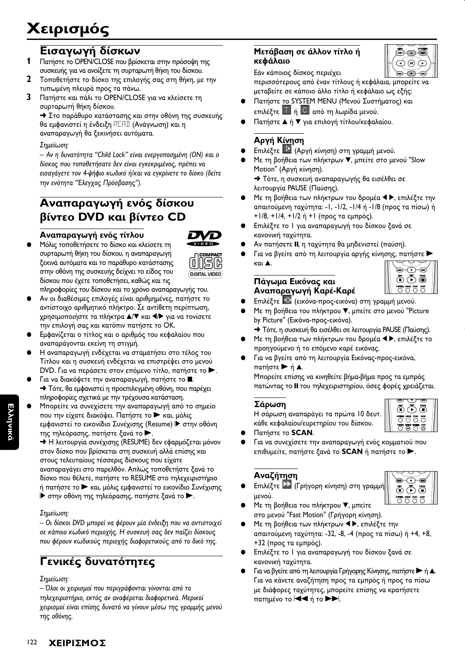# Εισαγωγή δίσκων

- Πατήστε το OPEN/CLOSE που βρίσκεται στην πρόσοψη της συσκευής για να ανοίξετε τη συρταρωτή θήκη του δίσκου.
- $\mathbf 2$ Τοποθετήστε το δίσκο της επιλογής σας στη θήκη, με την τυπωμένη πλευρά προς τα πάνω.
- 3 Πατήστε και πάλι το OPEN/CLOSE για να κλείσετε τη συρταρωτή θήκη δίσκου.

→ Στο παράθυρο κατάστασης και στην οθόνη της συσκευής θα εμφανιστεί η ένδειξη ΡΕΗ (Ανάγνωση) και η αναπαραγωγή θα ξεκινήσει αυτόματα.

#### Σημείωση:

- Αν η δυνατότητα "Child Lock" είναι ενεργοποιημένη (ON) και ο δίσκος που τοποθετήσατε δεν είναι εγκεκριμένος, πρέπει να εισαγάγετε τον 4-ψήφιο κωδικό ή/και να εγκρίνετε το δίσκο (δείτε την ενότητα "Ελεγχος Πρόσβασης").

# Αναπαραγωγή ενός δίσκου βίντεο DVD και βίντεο CD

## Αναπαραγωγή ενός τίτλου



Μόλις τοποθετήσετε το δίσκο και κλείσετε τη συρταρωτή θήκη του δίσκου, η αναπαραγωγή ξεκινά αυτόματα και το παράθυρο κατάστασης στην οθόνη της συσκευής δείχνει το είδος του δίσκου που έχετε τοποθετήσει, καθώς και τις



- πληροφορίες του δίσκου και το χρόνο αναπαραγωγής του. Αν οι διαθέσιμες επιλογές είναι αριθμημένες, πατήστε το αντίστοιχο αριθμητικό πλήκτρο. Σε αντίθετη περίπτωση, χρησιμοποιήστε τα πλήκτρα Δ/▼ και </> για να τονίσετε την επιλογή σας και κατόπιν πατήστε το ΟΚ.
- Εμφανίζεται ο τίτλος και ο αριθμός του κεφαλαίου που αναπαράγονται εκείνη τη στιγμή.
- Η αναπαραγωγή ενδέχεται να σταματήσει στο τέλος του Τίτλου και η συσκευή ενδέχεται να επιστρέψει στο μενού DVD. Για να περάσετε στον επόμενο τίτλο, πατήστε το >.
- Για να διακόψετε την αναπαραγωγή, πατήστε το ... **+** Τότε, θα εμφανιστεί η προεπιλεγμένη οθόνη, που παρέχει πληροφορίες σχετικά με την τρέχουσα κατάσταση.
- Μπορείτε να συνεχίσετε την αναπαραγωγή από το σημείο που την είχατε διακόψει. Πατήστε το και, μόλις εμφανιστεί το εικονίδιο Συνέχισης (Resume) ▶ στην οθόνη της τηλεόρασης, πατήστε ξανά το >.

→ Η λειτουργία συνέχισης (RESUME) δεν εφαρμόζεται μόνον στον δίσκο που βρίσκεται στη συσκευή αλλά επίσης και στους τελευταίους τέσσερις δίσκους που είχατε αναπαραγάγει στο παρελθόν. Απλώς τοποθετήστε ξανά το δίσκο που θέλετε, πατήστε το RESUME στο τηλεχειριστήριο ή πατήστε το > και, μόλις εμφανιστεί το εικονίδιο Συνέχισης ▶ στην οθόνη της τηλεόρασης, πατήστε ξανά το ▶.

## Σημείωση:

- Οι δίσκοι DVD μπορεί να φέρουν μία ένδειξη που να αντιστοιχεί σε κάποιο κωδικό περιοχής. Η συσκευή σας δεν παίζει δίσκους που φέρουν κωδικούς περιοχής διαφορετικούς από το δικό της.

# Γενικές δυνατότητες

#### Σημείωση:

- Όλοι οι χειρισμοί που περιγράφονται γίνονται από το τηλεχειριστήριο, εκτός αν αναφέρεται διαφορετικά. Μερικοί χειρισμοί είναι επίσης δυνατό να γίνουν μέσω της γραμμής μενού της οθόνης.

## Μετάβαση σε άλλον τίτλο ή κεφάλαιο



Εάν κάποιος δίσκος περιέχει περισσότερους από έναν τίτλους ή κεφάλαια, μπορείτε να μεταβείτε σε κάποιο άλλο τίτλο ή κεφάλαιο ως εξής:

- Πατήστε το SYSTEM MENU (Μενού Συστήματος) και επιλέξτε <sup>1</sup> ή <sup>C</sup> από τη λωρίδα μενού.
- Πατήστε ▲ ή ▼ για επιλογή τίτλου/κεφαλαίου.

## Αργή Κίνηση

- Επιλέξτε | (Αργή κίνηση) στη γραμμή μενού.
- Με τη βοήθεια των πλήκτρων ▼, μπείτε στο μενού "Slow Motion" (Αργή κίνηση). → Τότε, η συσκευή αναπαραγωγής θα εισέλθει σε

λειτουργία PAUSE (Παύσης).

- Με τη βοήθεια των πλήκτρων του δρομέα < ▶, επιλέξτε την απαιτούμενη ταχύτητα: -1, -1/2, -1/4 ή -1/8 (προς τα πίσω) ή +1/8, +1/4, +1/2 ή +1 (προς τα εμπρός).
- Επιλέξτε το 1 για αναπαραγωγή του δίσκου ξανά σε κανονική ταχύτητα.
- Αν πατήσετε II, η ταχύτητα θα μηδενιστεί (παύση).
- Για να βγείτε από τη λειτουργία αργής κίνησης, πατήστε **KULA** ত−⊛ ক্রি

## Πάγωμα Εικόνας και Αναπαραγωγή Καρέ-Καρέ

- Επιλέξτε <sup>40</sup> (εικόνα-προς-εικόνα) στη γραμμή μενού.
- Με τη βοήθεια του πλήκτρου ▼, μπείτε στο μενού "Picture by Picture" (Εικόνα-προς-εικόνα).
- > Τότε, η συσκευή θα εισέλθει σε λειτουργία PAUSE (Παύσης).
- Με τη βοήθεια των πλήκτρων του δρομέα < ▶, επιλέξτε το προηγούμενο ή το επόμενο καρέ εικόνας.
- Για να βγείτε από τη λειτουργία Εικόνας-προς-εικόνα, πατήστε ► ή ▲.

Μπορείτε επίσης να κινηθείτε βήμα-βήμα προς τα εμπρός πατώντας το II του τηλεχειριστηρίου, όσες φορές χρειάζεται.

## Σάρωση

Η σάρωση αναπαράγει τα πρώτα 10 δευτ. κάθε κεφαλαίου/ευρετηρίου του δίσκου.



 $\ddot{\mathbb{O}}$   $\ddot{\mathbb{O}}$   $\ddot{\mathbb{O}}$ 

5555

- Πατήστε το SCAN.
- Για να συνεχίσετε την αναπαραγωγή ενός κομματιού που επιθυμείτε, πατήστε ξανά το **SCAN** ή πατήστε το .

## Αναζήτηση

Επιλέξτε **22** (Γρήγορη κίνηση) στη γραμμή μενού.



- Με τη βοήθεια του πλήκτρου ▼, μπείτε στο μενού "Fast Motion" (Γρήγορη κίνηση).
- Με τη βοήθεια των πλήκτρων < ▶, επιλέξτε την απαιτούμενη ταχύτητα: -32, -8, -4 (προς τα πίσω) ή +4, +8, +32 (προς τα εμπρός).
- Επιλέξτε το 1 για αναπαραγωγή του δίσκου ξανά σε κανονική ταχύτητα.
- Για να βγείτε από τη λειτουργία Γρήγορης Κίνησης, πατήστε  $\blacktriangleright$  ή Δ. Για να κάνετε αναζήτηση προς τα εμπρός ή προς τα πίσω με διάφορες ταχύτητες, μπορείτε επίσης να κρατήσετε πατημένο το **<4** ή το **>>**.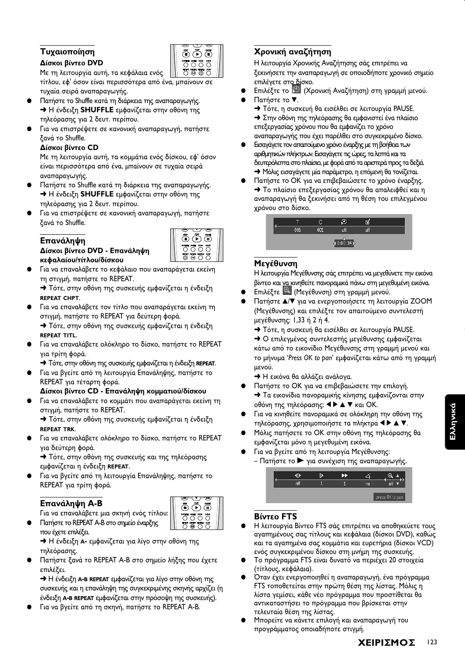## Τυχαιοποίηση Δίσκοι βίντεο DVD



Με τη λειτουργία αυτή, τα κεφάλαια ενός τίτλου, εφ' όσον είναι περισσότερα από ένα, μπαίνουν σε τυχαία σειρά αναπαραγωγής.

- Πατήστε το Shuffle κατά τη διάρκεια της αναπαραγωγής. > Η ένδειξη SHUFFLE εμφανίζεται στην οθόνη της τηλεόρασης για 2 δευτ. περίπου.
- Για να επιστρέψετε σε κανονική αναπαραγωγή, πατήστε ξανά το Shuffle.

### Δίσκοι βίντεο CD

Με τη λειτουργία αυτή, τα κομμάτια ενός δίσκου, εφ' όσον είναι περισσότερα από ένα, μπαίνουν σε τυχαία σειρά αναπαραγωγής.

- Πατήστε το Shuffle κατά τη διάρκεια της αναπαραγωγής. > Η ένδειξη SHUFFLE εμφανίζεται στην οθόνη της τηλεόρασης για 2 δευτ. περίπου.
- Για να επιστρέψετε σε κανονική αναπαραγωγή, πατήστε ξανά το Shuffle.

Δίσκοι βίντεο DVD - Επανάληψη

## Επανάληψη



κεφαλαίου/τίτλου/δίσκου Για να επαναλάβετε το κεφάλαιο που αναπαράγεται εκείνη τη στιγμή, πατήστε το REPEAT.

→ Τότε, στην οθόνη της συσκευής εμφανίζεται η ένδειξη **REPEAT CHPT.** 

Για να επαναλάβετε τον τίτλο που αναπαράγεται εκείνη τη στιγμή, πατήστε το REPEAT για δεύτερη φορά.

→ Τότε, στην οθόνη της συσκευής εμφανίζεται η ένδειξη **REPEAT TITL.** 

- Για να επαναλάβετε ολόκληρο το δίσκο, πατήστε το REPEAT για τρίτη φορά.
	- > Τότε, στην οθόνη της συσκευής εμφανίζεται η ένδειξη REPEAT.
- Για να βγείτε από τη λειτουργία Επανάληψης, πατήστε το REPEAT για τέταρτη φορά.

## Δίσκοι βίντεο CD - Επανάληψη κομματιού/δίσκου

Για να επαναλάβετε το κομμάτι που αναπαράγεται εκείνη τη στιγμή, πατήστε το REPEAT.

→ Τότε, στην οθόνη της συσκευής εμφανίζεται η ένδειξη **REPEAT TRK.** 

Για να επαναλάβετε ολόκληρο το δίσκο, πατήστε το REPEAT για δεύτερη φορά.

> Τότε, στην οθόνη της συσκευής και της τηλεόρασης εμφανίζεται η ένδειξη REPEAT.

Για να βγείτε από τη λειτουργία Επανάληψης, πατήστε το REPEAT για τρίτη φορά.

## Επανάληψη Α-Β

Για να επαναλάβετε μια σκηνή ενός τίτλου:

Πατήστε το REPEAT A-B στο σημείο έναρξης που έχετε επιλέξει.

+ Η ένδειξη A- εμφανίζεται για λίγο στην οθόνη της τηλεόρασης.

Πατήστε ξανά το REPEAT A-B στο σημείο λήξης που έχετε επιλέξει.

+ Η ένδειξη A-B REPEAT εμφανίζεται για λίνο στην οθόνη της συσκευής και η επανάληψη της συγκεκριμένης σκηνής αρχίζει (η ένδειξη A-B REPEAT εμφανίζεται στην πρόσοψη της συσκευής).

Για να βγείτε από τη σκηνή, πατήστε το REPEAT A-B.

## Χρονική αναζήτηση

Η λειτουργία Χρονικής Αναζήτησης σάς επιτρέπει να ξεκινήσετε την αναπαραγωγή σε οποιοδήποτε χρονικό σημείο επιλέγετε στο δίσκο.

- Επιλέξτε το <sup>49</sup> (Χρονική Αναζήτηση) στη γραμμή μενού.
- Πατήστε το ▼.
	- → Τότε, η συσκευή θα εισέλθει σε λειτουργία PAUSE. → Στην οθόνη της τηλεόρασης θα εμφανιστεί ένα πλαίσιο επεξεργασίας χρόνου που θα εμφανίζει το χρόνο αναπαραγωγής που έχει παρέλθει στο συγκεκριμένο δίσκο.
- Εισαγάγετε τον απαιτούμενο χρόνο έναρξης με τη βοήθεια των αριθμητικών πλήκτρων. Εισαγάγετε τις ώρες, τα λεπτά και τα δευτερόλεπτα στο πλαίσιο, με φορά από τα αριστερά προς τα δεξιά. - Μόλις εισαγάγετε μία παράμετρο, η επόμενη θα τονίζεται.
- Πατήστε το ΟΚ για να επιβεβαιώσετε το χρόνο έναρξης. • Το πλαίσιο επεξεργασίας χρόνου θα απαλειφθεί και η αναπαραγωγή θα ξεκινήσει από τη θέση του επιλεγμένου χρόνου στο δίσκο.



## Μεγέθυνση

Η λειτουργία Μεγέθυνσης σάς επιτρέπει να μεγεθύνετε την εικόνα βίντεο και να κινηθείτε πανοραμικά πάνω στη μεγεθυμένη εικόνα.

- Επιλέξτε <sup>Θα</sup> (Μεγέθυνση) στη γραμμή μενού.
- Πατήστε Δ/ για να ενεργοποιήσετε τη λειτουργία ΖΟΟΜ (Μεγέθυνσης) και επιλέξτε τον απαιτούμενο συντελεστή μεγέθυνσης: 1,33 ή 2 ή 4.
	- **+** Τότε, η συσκευή θα εισέλθει σε λειτουργία PAUSE.
	- Ο επιλεγμένος συντελεστής μεγέθυνσης εμφανίζεται κάτω από το εικονίδιο Μεγέθυνσης στη γραμμή μενού και το μήνυμα 'Press OK to pan' εμφανίζεται κάτω από τη γραμμή μενού.
	- > Η εικόνα θα αλλάζει ανάλογα.
- Πατήστε το ΟΚ για να επιβεβαιώσετε την επιλογή. > Τα εικονίδια πανοραμικής κίνησης εμφανίζονται στην οθόνη της τηλεόρασης: ◀▶▲▼ και ΟΚ.
- Για να κινηθείτε πανοραμικά σε ολόκληρη την οθόνη της τηλεόρασης, χρησιμοποιήστε τα πλήκτρα < > A V.
- Μόλις πατήσετε το ΟΚ στην οθόνη της τηλεόρασης θα εμφανίζεται μόνο η μεγεθυμένη εικόνα.
- Για να βγείτε από τη λειτουργία Μεγέθυνσης: - Πατήστε το ► για συνέχιση της αναπαραγωγής.



## **Βίντεο FTS**

- Η λειτουργία Βίντεο FTS σάς επιτρέπει να αποθηκεύετε τους αγαπημένους σας τίτλους και κεφάλαια (δίσκοι DVD), καθώς και τα αγαπημένα σας κομμάτια και ευρετήρια (δίσκοι VCD) ενός συγκεκριμένου δίσκου στη μνήμη της συσκευής.
- Το πρόγραμμα FTS είναι δυνατό να περιέχει 20 στοιχεία (τίτλους, κεφάλαια).
- Όταν έχει ενεργοποιηθεί η αναπαραγωγή, ένα πρόγραμμα FTS τοποθετείται στην πρώτη θέση της λίστας. Μόλις η λίστα γεμίσει, κάθε νέο πρόγραμμα που προστίθεται θα αντικαταστήσει το πρόγραμμα που βρίσκεται στην τελευταία θέση της λίστας.
- Μπορείτε να κάνετε επιλογή και αναπαραγωγή του προγράμματος οποιαδήποτε στιγμή.

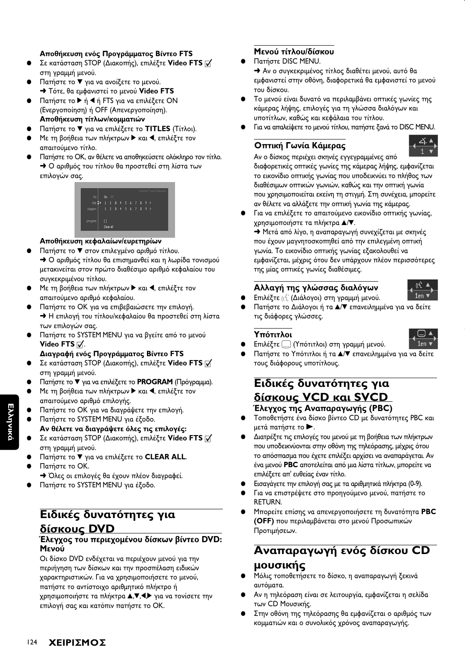## Αποθήκευση ενός Προγράμματος Βίντεο FTS

- Σε κατάσταση STOP (Διακοπής), επιλέξτε Video FTS Π στη γραμμή μενού.
- Πατήστε το ▼ για να ανοίξετε το μενού. → Τότε, θα εμφανιστεί το μενού Video FTS
- Πατήστε το ▶ ή ◀ ή FTS για να επιλέξετε ON (Ενεργοποίηση) ή ΟFF (Απενεργοποίηση). Αποθήκευση τίτλων/κομματιών
- Πατήστε το ▼ για να επιλέξετε το TITLES (Τίτλοι).
- Με τη βοήθεια των πλήκτρων ▶ και ◀, επιλέξτε τον απαιτούμενο τίτλο.
- Πατήστε το ΟΚ, αν θέλετε να αποθηκεύσετε ολόκληρο τον τίτλο. > Ο αριθμός του τίτλου θα προστεθεί στη λίστα των επιλογών σας.

|                   |           |          |  |  |                       | Favorite Track Selection |
|-------------------|-----------|----------|--|--|-----------------------|--------------------------|
| fts               |           | $On$ Off |  |  |                       |                          |
| title $\clubsuit$ |           |          |  |  | 1 2 3 4 5 6 7 8 9     |                          |
| chapter           |           |          |  |  | $1$ 2 3 4 5 6 7 8 9 > |                          |
|                   |           |          |  |  |                       |                          |
| program           | וו        |          |  |  |                       |                          |
|                   | Clear all |          |  |  |                       |                          |

#### Αποθήκευση κεφαλαίων/ευρετηρίων

- Πατήστε το ▼ στον επιλεγμένο αριθμό τίτλου. • Ο αριθμός τίτλου θα επισημανθεί και η λωρίδα τονισμού μετακινείται στον πρώτο διαθέσιμο αριθμό κεφαλαίου του συγκεκριμένου τίτλου.
- Με τη βοήθεια των πλήκτρων ▶ και ◀, επιλέξτε τον απαιτούμενο αριθμό κεφαλαίου.
- Πατήστε το ΟΚ για να επιβεβαιώσετε την επιλογή. > Η επιλογή του τίτλου/κεφαλαίου θα προστεθεί στη λίστα των επιλογών σας.
- Πατήστε το SYSTEM MENU για να βγείτε από το μενού Video FTS  $\overline{v}$ .

## Διαγραφή ενός Προγράμματος Βίντεο FTS

- Σε κατάσταση STOP (Διακοπής), επιλέξτε Video FTS [ στη γραμμή μενού.
- Πατήστε το <sup>γ</sup> για να επιλέξετε το PROGRAM (Πρόγραμμα).
- Με τη βοήθεια των πλήκτρων > και <, επιλέξτε τον απαιτούμενο αριθμό επιλογής.
- Πατήστε το ΟΚ για να διαγράψετε την επιλογή.
- Πατήστε το SYSTEM MENU για έξοδο.
- Αν θέλετε να διαγράψετε όλες τις επιλογές: Σε κατάσταση STOP (Διακοπής), επιλέξτε Video FTS  $\overline{v}$
- στη γραμμή μενού. Πατήστε το V για να επιλέξετε το CLEAR ALL.
- Πατήστε το ΟΚ.
- → Όλες οι επιλογές θα έχουν πλέον διαγραφεί.
- Πατήστε το SYSTEM MENU για έξοδο.

## Ειδικές δυνατότητες για δίσκους DVD

### Έλεγχος του περιεχομένου δίσκων βίντεο DVD: Μενού

Οι δίσκο DVD ενδέχεται να περιέχουν μενού για την περιήγηση των δίσκων και την προσπέλαση ειδικών χαρακτηριστικών. Για να χρησιμοποιήσετε το μενού, πατήστε το αντίστοιχο αριθμητικό πλήκτρο ή χρησιμοποιήστε τα πλήκτρα Δ, Π, Φ, για να τονίσετε την επιλογή σας και κατόπιν πατήστε το ΟΚ.

## Μενού τίτλου/δίσκου

Πατήστε DISC MENU.

Aν ο συγκεκριμένος τίτλος διαθέτει μενού, αυτό θα εμφανιστεί στην οθόνη, διαφορετικά θα εμφανιστεί το μενού του δίσκου.

- Το μενού είναι δυνατό να περιλαμβάνει οπτικές γωνίες της κάμερας λήψης, επιλογές για τη γλώσσα διαλόγων και υποτίτλων, καθώς και κεφάλαια του τίτλου.
- Για να απαλείψετε το μενού τίτλου, πατήστε ξανά το DISC MENU.

## Οπτική Γωνία Κάμερας



 $1en$ 

1en.

Αν ο δίσκος περιέχει σκηνές εγγεγραμμένες από διαφορετικές οπτικές γωνίες της κάμερας λήψης, εμφανίζεται το εικονίδιο οπτικής γωνίας που υποδεικνύει το πλήθος των διαθέσιμων οπτικών γωνιών, καθώς και την οπτική γωνία που χρησιμοποιείται εκείνη τη στιγμή. Στη συνέχεια, μπορείτε αν θέλετε να αλλάξετε την οπτική γωνία της κάμερας.

Για να επιλέξετε το απαιτούμενο εικονίδιο οπτικής γωνίας, χρησιμοποιήστε τα πλήκτρα ▲/▼.

→ Μετά από λίγο, η αναπαραγωγή συνεχίζεται με σκηνές που έχουν μαγνητοσκοπηθεί από την επιλεγμένη οπτική γωνία. Το εικονίδιο οπτικής γωνίας εξακολουθεί να εμφανίζεται, μέχρις ότου δεν υπάρχουν πλέον περισσότερες της μίας οπτικές γωνίες διαθέσιμες.

## Αλλαγή της γλώσσας διαλόγων

- Επιλέξτε ((ζ (Διάλογοι) στη γραμμή μενού.
- Πατήστε το Διάλογοι ή τα Δ/ επανειλημμένα για να δείτε τις διάφορες γλώσσες.

## Υπότιτλοι



Πατήστε το Υπότιτλοι ή τα Δ/ επανειλημμένα για να δείτε τους διάφορους υποτίτλους.

## Ειδικές δυνατότητες για δίσκους VCD και SVCD Έλεγχος της Αναπαραγωγής (PBC)

- Τοποθετήστε ένα δίσκο βίντεο CD με δυνατότητες PBC και μετά πατήστε το  $\blacktriangleright$ .
- Διατρέξτε τις επιλογές του μενού με τη βοήθεια των πλήκτρων που υποδεικνύονται στην οθόνη της τηλεόρασης, μέχρις ότου το απόσπασμα που έχετε επιλέξει αρχίσει να αναπαράγεται. Αν ένα μενού PBC αποτελείται από μια λίστα τίτλων, μπορείτε να επιλέξετε απ' ευθείας έναν τίτλο.
- Εισαγάγετε την επιλογή σας με τα αριθμητικά πλήκτρα (0-9).
- Για να επιστρέψετε στο προηγούμενο μενού, πατήστε το **RETURN.**
- Μπορείτε επίσης να απενεργοποιήσετε τη δυνατότητα PBC (OFF) που περιλαμβάνεται στο μενού Προσωπικών Προτιμήσεων.

# Αναπαραγωγή ενός δίσκου CD μουσικής

- Μόλις τοποθετήσετε το δίσκο, η αναπαραγωγή ξεκινά αυτόματα.
- Αν η τηλεόραση είναι σε λειτουργία, εμφανίζεται η σελίδα των CD Μουσικής.
- Στην οθόνη της τηλεόρασης θα εμφανίζεται ο αριθμός των κομματιών και ο συνολικός χρόνος αναπαραγωγής.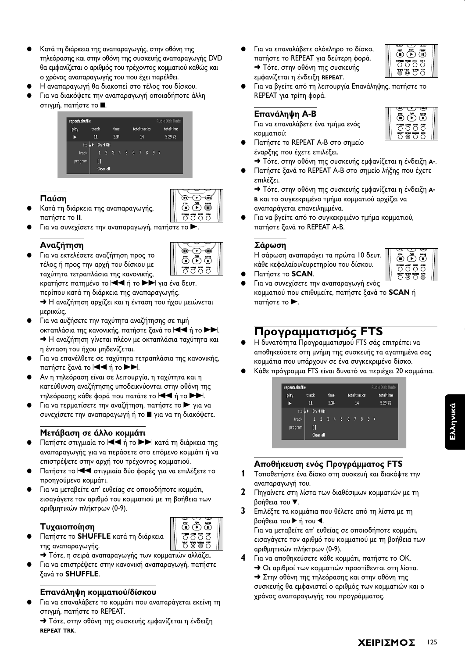- Κατά τη διάρκεια της αναπαραγωγής, στην οθόνη της τηλεόρασης και στην οθόνη της συσκευής αναπαραγωγής DVD θα εμφανίζεται ο αριθμός του τρέχοντος κομματιού καθώς και ο χρόνος αναπαραγωγής του που έχει παρέλθει.
- Η αναπαραγωγή θα διακοπεί στο τέλος του δίσκου.
- Για να διακόψετε την αναπαραγωγή οποιαδήποτε άλλη στιγμή, πατήστε το ■.



## Παύση



 $\widetilde{\sigma}$ m

ŌÕÕ

0000

- Κατά τη διάρκεια της αναπαραγωγής, πατήστε το **ΙΙ**.
- Για να συνεχίσετε την αναπαραγωγή, πατήστε το >.

## Αναζήτηση

Για να εκτελέσετε αναζήτηση προς το τέλος ή προς την αρχή του δίσκου με ταχύτητα τετραπλάσια της κανονικής, κρατήστε πατημένο το **|<| +** ή το  $\blacktriangleright\blacktriangleright$ | για ένα δευτ. περίπου κατά τη διάρκεια της αναπαραγωγής. → Η αναζήτηση αρχίζει και η ένταση του ήχου μειώνεται

μερικώς.

- Για να αυξήσετε την ταχύτητα αναζήτησης σε τιμή οκταπλάσια της κανονικής, πατήστε ξανά το |<< ή το ▶▶. → Η αναζήτηση γίνεται πλέον με οκταπλάσια ταχύτητα και η ένταση του ήχου μηδενίζεται.
- Για να επανέλθετε σε ταχύτητα τετραπλάσια της κανονικής, πατήστε ξανά το **44** ή το **>>**.
- Αν η τηλεόραση είναι σε λειτουργία, η ταχύτητα και η κατεύθυνση αναζήτησης υποδεικνύονται στην οθόνη της τηλεόρασης κάθε φορά που πατάτε το  $\blacktriangleleft$  ή το  $\blacktriangleright$ .
- Για να τερματίσετε την αναζήτηση, πατήστε το για να συνεχίσετε την αναπαραγωγή ή το ψ για να τη διακόψετε.

## Μετάβαση σε άλλο κομμάτι

- Πατήστε στιγμιαία το **<4** ή το **>>** κατά τη διάρκεια της αναπαραγωγής για να περάσετε στο επόμενο κομμάτι ή να επιστρέψετε στην αρχή του τρέχοντος κομματιού.
- Πατήστε το και στιγμιαία δύο φορές για να επιλέξετε το προηγούμενο κομμάτι.
- Για να μεταβείτε απ' ευθείας σε οποιοδήποτε κομμάτι, εισαγάγετε τον αριθμό του κομματιού με τη βοήθεια των αριθμητικών πλήκτρων (0-9).

## Τυχαιοποίηση

- Πατήστε το SHUFFLE κατά τη διάρκεια της αναπαραγωγής.
- ÖÕÖ  $\overline{O}\overline{O}\overline{O}$  $\overline{O}$  $\overline{O}$  $\overline{O}$  $\overline{O}$
- > Τότε, η σειρά αναπαραγωγής των κομματιών αλλάζει.
- Για να επιστρέψετε στην κανονική αναπαραγωγή, πατήστε ξανά το SHUFFLE.

## Επανάληψη κομματιού/δίσκου

- Για να επαναλάβετε το κομμάτι που αναπαράγεται εκείνη τη στιγμή, πατήστε το REPEAT.
	- → Τότε, στην οθόνη της συσκευής εμφανίζεται η ένδειξη **REPEAT TRK**

Για να επαναλάβετε ολόκληρο το δίσκο, πατήστε το REPEAT για δεύτερη φορά. **+** Τότε, στην οθόνη της συσκευής εμφανίζεται η ένδειξη REPEAT.



ÖÕÖ

**SURFILE AVEL 2004**<br>
O O O O<br>
RENT RENT SHUTLE SON<br>
O @ O O

5 6 5

(KO)

Για να βγείτε από τη λειτουργία Επανάληψης, πατήστε το REPEAT για τρίτη φορά.

## Επανάληψη Α-Β

Για να επαναλάβετε ένα τμήμα ενός κομματιού:

- Πατήστε το REPEAT A-B στο σημείο έναρξης που έχετε επιλέξει.
- → Τότε, στην οθόνη της συσκευής εμφανίζεται η ένδειξη Α-.
- Πατήστε ξανά το REPEAT A-B στο σημείο λήξης που έχετε επιλέξει.

→ Τότε, στην οθόνη της συσκευής εμφανίζεται η ένδειξη Α-Β και το συγκεκριμένο τμήμα κομματιού αρχίζει να αναπαράγεται επανειλημμένα.

Για να βγείτε από το συγκεκριμένο τμήμα κομματιού, πατήστε ξανά το REPEAT A-B.

### Σάρωση

Η σάρωση αναπαράγει τα πρώτα 10 δευτ. κάθε κεφαλαίου/ευρετηρίου του δίσκου.

- Πατήστε το SCAN.
- 00000 Για να συνεχίσετε την αναπαραγωγή ενός κομματιού που επιθυμείτε, πατήστε ξανά το SCAN ή πατήστε το  $\blacktriangleright$ .

## Προγραμματισμός FTS

- Η δυνατότητα Προγραμματισμού FTS σάς επιτρέπει να αποθηκεύσετε στη μνήμη της συσκευής τα αγαπημένα σας κομμάτια που υπάρχουν σε ένα συγκεκριμένο δίσκο.
- Κάθε πρόγραμμα FTS είναι δυνατό να περιέχει 20 κομμάτια.



## Αποθήκευση ενός Προγράμματος FTS

- Τοποθετήστε ένα δίσκο στη συσκευή και διακόψτε την αναπαραγωγή του.
- $\mathbf{2}$ Πηγαίνετε στη λίστα των διαθέσιμων κομματιών με τη βοήθεια του ₹.
- 3 Επιλέξτε τα κομμάτια που θέλετε από τη λίστα με τη βοήθεια του ▶ ή του ◀. Για να μεταβείτε απ' ευθείας σε οποιοδήποτε κομμάτι, εισαγάγετε τον αριθμό του κομματιού με τη βοήθεια των αριθμητικών πλήκτρων (0-9).
- $\mathbf{A}$ Για να αποθηκεύσετε κάθε κομμάτι, πατήστε το ΟΚ.
	- > Οι αριθμοί των κομματιών προστίθενται στη λίστα. → Στην οθόνη της τηλεόρασης και στην οθόνη της συσκευής θα εμφανιστεί ο αριθμός των κομματιών και ο χρόνος αναπαραγωγής του προγράμματος.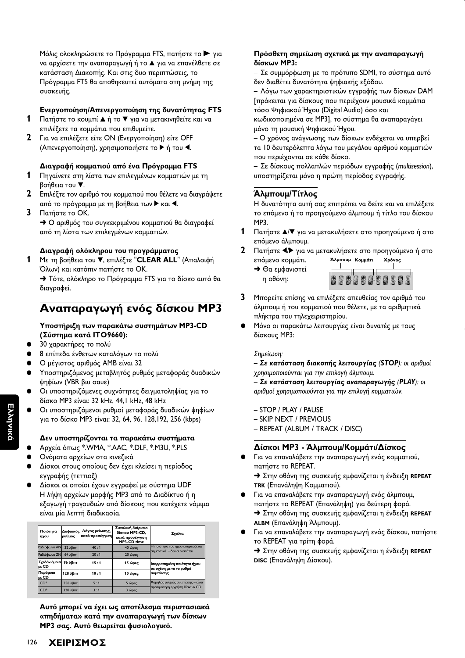Μόλις ολοκληρώσετε το Πρόγραμμα FTS, πατήστε το ▶ για να αρχίσετε την αναπαραγωγή ή το ▲ για να επανέλθετε σε κατάσταση Διακοπής. Και στις δυο περιπτώσεις, το Πρόγραμμα FTS θα αποθηκευτεί αυτόματα στη μνήμη της συσκευής.

## Ενεργοποίηση/Απενεργοποίηση της δυνατότητας FTS

- 1 Πατήστε το κουμπί Δή το ▼ για να μετακινηθείτε και να επιλέξετε τα κομμάτια που επιθυμείτε.
- 2 Για να επιλέξετε είτε ΟΝ (Ενεργοποίηση) είτε OFF (Απενεργοποίηση), χρησιμοποιήστε το ▶ ή του ◀.

### Διαγραφή κομματιού από ένα Πρόγραμμα FTS

- 1 Πηγαίνετε στη λίστα των επιλεγμένων κομματιών με τη βοήθεια του ▼.
- 2 Επιλέξτε τον αριθμό του κομματιού που θέλετε να διαγράψετε από το πρόγραμμα με τη βοήθεια των ▶ και ◀.
- 3 Πατήστε το ΟΚ.

• Ο αριθμός του συγκεκριμένου κομματιού θα διαγραφεί από τη λίστα των επιλεγμένων κομματιών.

#### Διαγραφή ολόκληρου του προγράμματος

1 Με τη βοήθεια του **V**, επιλέξτε "CLEAR ALL" (Απαλοιφή Όλων) και κατόπιν πατήστε το ΟΚ.

→ Τότε, ολόκληρο το Πρόγραμμα FTS για το δίσκο αυτό θα διανραφεί.

# Αναπαραγωγή ενός δίσκου ΜΡ3

#### Υποστήριξη των παρακάτω συστημάτων MP3-CD (Σύστημα κατά ITO9660):

- 30 χαρακτήρες το πολύ
- 8 επίπεδα ένθετων καταλόγων το πολύ
- Ο μέγιστος αριθμός ΑΜΒ είναι 32
- Υποστηριζόμενος μεταβλητός ρυθμός μεταφοράς δυαδικών ψηφίων (VBR βιυ σαυε)
- Οι υποστηριζόμενες συχνότητες δειγματοληψίας για το δίσκο MP3 είναι: 32 kHz, 44,1 kHz, 48 kHz
- Οι υποστηριζόμενοι ρυθμοί μεταφοράς δυαδικών ψηφίων για το δίσκο MP3 είναι: 32, 64, 96, 128, 192, 256 (kbps)

#### Δεν υποστηρίζονται τα παρακάτω συστήματα

- Αρχεία όπως \*.WMA, \*.AAC, \*.DLF, \*.M3U, \*.PLS
- Ονόματα αρχείων στα κινεζικά
- Δίσκοι στους οποίους δεν έχει κλείσει η περίοδος εννραφής (τεττιοξ)
- Δίσκοι οι οποίοι έχουν εγγραφεί με σύστημα UDF Η λήψη αρχείων μορφής MP3 από το Διαδίκτυο ή η εξαγωγή τραγουδιών από δίσκους που κατέχετε νόμιμα είναι μία λεπτή διαδικασία.

| Ποιότητα<br>ήχου        | Δυφιακός<br>ρυθμός      | Λόγος μείωσης,<br>κατά προσέγγιση | Συνολική διάρκεια<br>δίσκου MP3-CD.<br>κατά προσέγγιση<br>MP3-CD time | Σχόλια                                                         |  |
|-------------------------|-------------------------|-----------------------------------|-----------------------------------------------------------------------|----------------------------------------------------------------|--|
| <b>Ραδιόφωνο ΑΝ</b>     | 32 λβπτ                 | 40:1                              | 40 ώρες                                                               | Η ποιότητα του ήχου επηρεάζεται<br>σημαντικά - δεν συνιστάται. |  |
| <b>Paδιόφωνο ZN</b>     | $64$ λβπτ               | 20:1                              | 20 ώρες                                                               |                                                                |  |
| Σχεδόν όμοια <br>luε CD | 96 λβπτ                 | 15:1                              | 15 ώρες                                                               | Ισορροπημένη ποιότητα ήχου<br>σε σχέση με το το ρυθμό          |  |
| Παρόμοια<br>με CD       | 128 λβπτ                | 10:1                              | 10 ώρες                                                               | συμπίεσης                                                      |  |
| $CD*$                   | 256 λβπτ                | 5:1                               | 5 ώρες                                                                | Χαμηλός ρυθμός συμπίεσης - είναι                               |  |
| $CD^*$                  | $320 \lambda \beta \pi$ | 3:1                               | 3 ώρες                                                                | προτιμότερη η χρήση δίσκων CD                                  |  |

Αυτό μπορεί να έχει ως αποτέλεσμα περιστασιακά «πηδήματα» κατά την αναπαραγωγή των δίσκων ΜΡ3 σας. Αυτό θεωρείται φυσιολογικό.

#### Πρόσθετη σημείωση σχετικά με την αναπαραγωγή δίσκων ΜΡ3:

– Σε συμμόρφωση με το πρότυπο SDMI, το σύστημα αυτό δεν διαθέτει δυνατότητα ψηφιακής εξόδου.

– Λόγω των χαρακτηριστικών εγγραφής των δίσκων DAM Γπρόκειται για δίσκους που περιέχουν μουσικά κομμάτια τόσο Ψηφιακού Ήχου (Digital Audio) όσο και

κωδικοποιημένα σε MP3], το σύστημα θα αναπαραγάγει μόνο τη μουσική Ψηφιακού Ήχου.

- Ο χρόνος ανάγνωσης των δίσκων ενδέχεται να υπερβεί τα 10 δευτερόλεπτα λόγω του μεγάλου αριθμού κομματιών που περιέχονται σε κάθε δίσκο.

- Σε δίσκους πολλαπλών περιόδων εγγραφής (multisession), υποστηρίζεται μόνο η πρώτη περίοδος εγγραφής.

## Άλμπουμ/Τίτλος

Η δυνατότητα αυτή σας επιτρέπει να δείτε και να επιλέξετε το επόμενο ή το προηγούμενο άλμπουμ ή τίτλο του δίσκου MP3.

- Πατήστε Δ/ για να μετακυλήσετε στο προηγούμενο ή στο επόμενο άλμπουμ.
- 2 Πατήστε </br> για να μετακυλήσετε στο προηγούμενο ή στο επόμενο κομμάτι.
	- **+** Θα εμφανιστεί η οθόνη:



- $\mathbf{3}$ Μπορείτε επίσης να επιλέξετε απευθείας τον αριθμό του άλμπουμ ή του κομματιού που θέλετε, με τα αριθμητικά πλήκτρα του τηλεχειριστηρίου.
- Μόνο οι παρακάτω λειτουργίες είναι δυνατές με τους δίσκους ΜΡ3:

#### Σημείωση:

- Σε κατάσταση διακοπής λειτουργίας (STOP): οι αριθμοί χρησιμοποιούνται για την επιλογή άλμπουμ.

- Σε κατάσταση λειτουργίας αναπαραγωγής (PLAY): οι αριθμοί χρησιμοποιούνται για την επιλογή κομματιών.

- STOP / PLAY / PAUSE
- SKIP NEXT / PREVIOUS
- REPEAT (ALBUM / TRACK / DISC)

#### Δίσκοι ΜΡ3 - Άλμπουμ/Κομμάτι/Δίσκος

• Για να επαναλάβετε την αναπαραγωγή ενός κομματιού, πατήστε το REPEAT.

> Στην οθόνη της συσκευής εμφανίζεται η ένδειξη REPEAT τκκ (Επανάληψη Κομματιού).

- Για να επαναλάβετε την αναπαραγωγή ενός άλμπουμ, πατήστε το REPEAT (Επανάληψη) για δεύτερη φορά. > Στην οθόνη της συσκευής εμφανίζεται η ένδειξη REPEAT
	- ΑLΒΜ (Επανάληψη Άλμπουμ).
- Για να επαναλάβετε την αναπαραγωγή ενός δίσκου, πατήστε το REPEAT για τρίτη φορά.

> Στην οθόνη της συσκευής εμφανίζεται η ένδειξη REPEAT DISC (Επανάληψη Δίσκου).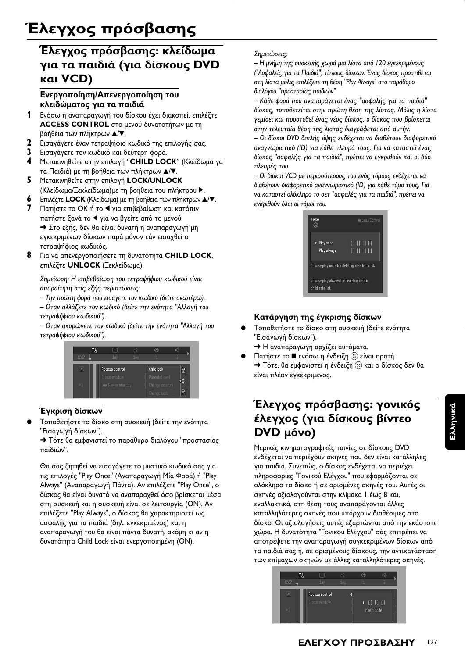# Έλεγχος πρόσβασης: κλείδωμα για τα παιδιά (για δίσκους DVD και VCD)

## Ενεργοποίηση/Απενεργοποίηση του κλειδώματος για τα παιδιά

- $\mathbf{1}$ Ενόσω η αναπαραγωγή του δίσκου έχει διακοπεί, επιλέξτε ACCESS CONTROL στο μενού δυνατοτήτων με τη βοήθεια των πλήκτρων Δ/▼.
- $\mathbf{2}$ Εισαγάγετε έναν τετραψήφιο κωδικό της επιλογής σας.
- $\mathbf{3}$ Εισαγάγετε τον κωδικό και δεύτερη φορά.
- $\overline{\mathbf{4}}$ Μετακινηθείτε στην επιλογή "CHILD LOCK" (Κλείδωμα γα τα Παιδιά) με τη βοήθεια των πλήκτρων Δ/▼.
- 5 Μετακινηθείτε στην επιλογή LOCK/UNLOCK (Κλείδωμα/Ξεκλείδωμα)με τη βοήθεια του πλήκτρου ▶.
- 6 Επιλέξτε LOCK (Κλείδωμα) με τη βοήθεια των πλήκτρων Δ/V.
- 7 Πατήστε το ΟΚ ή το < για επιβεβαίωση και κατόπιν πατήστε ξανά το ◀ για να βγείτε από το μενού. > Στο εξής, δεν θα είναι δυνατή η αναπαραγωγή μη εγκεκριμένων δίσκων παρά μόνον εάν εισαχθεί ο τετραψήφιος κωδικός.
- 8 Για να απενεργοποιήσετε τη δυνατότητα CHILD LOCK, επιλέξτε UNLOCK (Ξεκλείδωμα).

Σημείωση: Η επιβεβαίωση του τετραψήφιου κωδικού είναι απαραίτητη στις εξής περιπτώσεις:

- Την πρώτη φορά που εισάγετε τον κωδικό (δείτε ανωτέρω).
- Όταν αλλάζετε τον κωδικό (δείτε την ενότητα "Αλλαγή του τετραψήφιου κωδικού").

– Όταν ακυρώνετε τον κωδικό (δείτε την ενότητα "Αλλαγή του τετραψήφιου κωδικού").



## Έγκριση δίσκων

Τοποθετήστε το δίσκο στη συσκευή (δείτε την ενότητα "Εισαγωγή δίσκων").

→ Τότε θα εμφανιστεί το παράθυρο διαλόγου "προστασίας παιδιών".

Θα σας ζητηθεί να εισαγάγετε το μυστικό κωδικό σας για τις επιλογές "Play Once" (Αναπαραγωγή Μία Φορά) ή "Play Always" (Αναπαραγωγή Πάντα). Αν επιλέξετε "Play Once", ο δίσκος θα είναι δυνατό να αναπαραχθεί όσο βρίσκεται μέσα στη συσκευή και η συσκευή είναι σε λειτουργία (ON). Αν επιλέξετε "Play Always", ο δίσκος θα χαρακτηριστεί ως ασφαλής για τα παιδιά (δηλ. εγκεκριμένος) και η αναπαραγωγή του θα είναι πάντα δυνατή, ακόμη κι αν η δυνατότητα Child Lock είναι ενεργοποιημένη (ON).

#### Σημειώσεις:

– Η μνήμη της συσκευής χωρά μια λίστα από 120 εγκεκριμένους ("Ασφαλείς για τα Παιδιά") τίτλους δίσκων. Ένας δίσκος προστίθεται στη λίστα μόλις επιλέξετε τη θέση "Play Always" στο παράθυρο διαλόγου "προστασίας παιδιών".

– Κάθε φορά που αναπαράνεται ένας "ασφαλής για τα παιδιά" δίσκος, τοποθετείται στην πρώτη θέση της λίστας. Μόλις η λίστα γεμίσει και προστεθεί ένας νέος δίσκος, ο δίσκος που βρίσκεται στην τελευταία θέση της λίστας διαγράφεται από αυτήν. - Οι δίσκοι DVD διπλής όψης ενδέχεται να διαθέτουν διαφορετικό αναγνωριστικό (ID) για κάθε πλευρά τους. Για να καταστεί ένας

δίσκος "ασφαλής για τα παιδιά", πρέπει να εγκριθούν και οι δύο πλευρές του.

- Οι δίσκοι VCD με περισσότερους του ενός τόμους ενδέχεται να διαθέτουν διαφορετικό αναγνωριστικό (ID) για κάθε τόμο τους. Για να καταστεί ολόκληρο το σετ "ασφαλές για τα παιδιά", πρέπει να εγκριθούν όλοι οι τόμοι του.

| locked                                                       | <b>Access Control</b>                  |
|--------------------------------------------------------------|----------------------------------------|
| ▼ Play once<br>Play always                                   | $\Box$ $\Box$ $\Box$ $\Box$<br>0 0 0 0 |
| Choose play once for deleting disk from list.                |                                        |
| Choose play always for inserting disk in<br>child-safe list. |                                        |

## Κατάργηση της έγκρισης δίσκων

- Τοποθετήστε το δίσκο στη συσκευή (δείτε ενότητα "Εισαγωγή δίσκων").
	- → Η αναπαραγωγή αρχίζει αυτόματα.
- Πατήστε το ενόσω η ένδειξη (;) είναι ορατή. → Τότε, θα εμφανιστεί η ένδειξη (2) και ο δίσκος δεν θα είναι πλέον εγκεκριμένος.

# Έλεγχος πρόσβασης: γονικός έλεγχος (για δίσκους βίντεο DVD µóvo)

Μερικές κινηματογραφικές ταινίες σε δίσκους DVD ενδέχεται να περιέχουν σκηνές που δεν είναι κατάλληλες για παιδιά. Συνεπώς, ο δίσκος ενδέχεται να περιέχει πληροφορίες "Γονικού Ελέγχου" που εφαρμόζονται σε ολόκληρο το δίσκο ή σε ορισμένες σκηνές του. Αυτές οι σκηνές αξιολογούνται στην κλίμακα | έως 8 και, εναλλακτικά, στη θέση τους αναπαράγονται άλλες καταλληλότερες σκηνές που υπάρχουν διαθέσιμες στο δίσκο. Οι αξιολογήσεις αυτές εξαρτώνται από την εκάστοτε χώρα. Η δυνατότητα "Γονικού Ελέγχου" σάς επιτρέπει να αποτρέψετε την αναπαραγωγή συγκεκριμένων δίσκων από τα παιδιά σας ή, σε ορισμένους δίσκους, την αντικατάσταση των επίμαχων σκηνών με άλλες καταλληλότερες σκηνές.

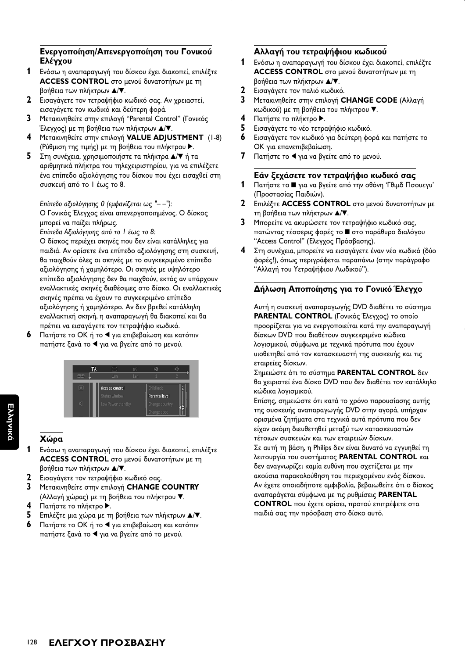## Ενεργοποίηση/Απενεργοποίηση του Γονικού Ελέγγου

- 1 Ενόσω η αναπαραγωγή του δίσκου έχει διακοπεί, επιλέξτε ACCESS CONTROL στο μενού δυνατοτήτων με τη βοήθεια των πλήκτρων Δ/V.
- 2 Εισαγάγετε τον τετραψήφιο κωδικό σας. Αν χρειαστεί, εισαγάγετε τον κωδικό και δεύτερη φορά.
- $\mathbf{3}$ Μετακινηθείτε στην επιλογή "Parental Control" (Γονικός Έλεγχος) με τη βοήθεια των πλήκτρων Δ/ $\nabla$ .
- $\overline{\mathbf{4}}$ Μετακινηθείτε στην επιλογή VALUE ADJUSTMENT (1-8) (Ρύθμιση της τιμής) με τη βοήθεια του πλήκτρου ▶.
- 5 Στη συνέχεια, χρησιμοποιήστε τα πλήκτρα Δ/▼ ή τα αριθμητικά πλήκτρα του τηλεχειριστηρίου, για να επιλέξετε ένα επίπεδο αξιολόγησης του δίσκου που έχει εισαχθεί στη συσκευή από το Ι έως το 8.

## Επίπεδο αξιολόγησης Ο (εμφανίζεται ως "--"):

Ο Γονικός Έλεγχος είναι απενεργοποιημένος. Ο δίσκος μπορεί να παίξει πλήρως.

Επίπεδα Αξιολόγησης από το Ι έως το 8:

Ο δίσκος περιέχει σκηνές που δεν είναι κατάλληλες για παιδιά. Αν ορίσετε ένα επίπεδο αξιολόγησης στη συσκευή, θα παιχθούν όλες οι σκηνές με το συγκεκριμένο επίπεδο αξιολόγησης ή χαμηλότερο. Οι σκηνές με υψηλότερο επίπεδο αξιολόγησης δεν θα παιχθούν, εκτός αν υπάρχουν εναλλακτικές σκηνές διαθέσιμες στο δίσκο. Οι εναλλακτικές σκηνές πρέπει να έχουν το συγκεκριμένο επίπεδο αξιολόγησης ή χαμηλότερο. Αν δεν βρεθεί κατάλληλη εναλλακτική σκηνή, η αναπαραγωγή θα διακοπεί και θα πρέπει να εισαγάγετε τον τετραψήφιο κωδικό.

6 Πατήστε το ΟΚ ή το ◀ για επιβεβαίωση και κατόπιν πατήστε ξανά το ◀ για να βγείτε από το μενού.



## Χώρα

- 1 Ενόσω η αναπαραγωγή του δίσκου έχει διακοπεί, επιλέξτε ACCESS CONTROL στο μενού δυνατοτήτων με τη βοήθεια των πλήκτρων Δ/▼.
- $\mathbf{2}$ Εισαγάγετε τον τετραψήφιο κωδικό σας.
- $\overline{\mathbf{3}}$ Μετακινηθείτε στην επιλογή CHANGE COUNTRY
- (Αλλαγή χώρας) με τη βοήθεια του πλήκτρου ".  $\overline{\mathbf{4}}$ Πατήστε το πλήκτρο ▶.
- 5. Επιλέξτε μια χώρα με τη βοήθεια των πλήκτρων Δ/V.
- 6 Πατήστε το ΟΚ ή το ◀ για επιβεβαίωση και κατόπιν πατήστε ξανά το ◀ για να βγείτε από το μενού.

## Αλλαγή του τετραψήφιου κωδικού

- 1 Ενόσω η αναπαραγωγή του δίσκου έχει διακοπεί, επιλέξτε ACCESS CONTROL στο μενού δυνατοτήτων με τη βοήθεια των πλήκτρων Δ/V.
- 2 Εισαγάγετε τον παλιό κωδικό.
- $\mathbf{3}$ Μετακινηθείτε στην επιλογή CHANGE CODE (Αλλαγή κωδικού) με τη βοήθεια του πλήκτρου ▼.
- 4 Πατήστε το πλήκτρο ▶.
- 5 Εισαγάγετε το νέο τετραψήφιο κωδικό.
- 6 Εισαγάγετε τον κωδικό για δεύτερη φορά και πατήστε το ΟΚ για επανεπιβεβαίωση.
- $\mathbf{7}$ Πατήστε το ◀ για να βγείτε από το μενού.

## Εάν ξεχάσετε τον τετραψήφιο κωδικό σας

- $\mathbf{1}$ Πατήστε το ■ για να βγείτε από την οθόνη 'Γθιμδ Πσουεγυ' (Προστασίας Παιδιών).
- $\mathbf{2}$ Επιλέξτε ACCESS CONTROL στο μενού δυνατοτήτων με τη βοήθεια των πλήκτρων Δ/▼.
- 3 Μπορείτε να ακυρώσετε τον τετραψήφιο κωδικό σας, πατώντας τέσσερις φορές το ■ στο παράθυρο διαλόγου "Access Control" (Έλεγχος Πρόσβασης).
- 4 Στη συνέχεια, μπορείτε να εισαγάγετε έναν νέο κωδικό (δύο φορές!), όπως περιγράφεται παραπάνω (στην παράγραφο "Αλλαγή του Υετραψήφιου Λωδικού").

## Δήλωση Αποποίησης για το Γονικό Έλεγχο

Αυτή η συσκευή αναπαραγωγής DVD διαθέτει το σύστημα PARENTAL CONTROL (Γονικός Έλεγχος) το οποίο προορίζεται για να ενεργοποιείται κατά την αναπαραγωγή δίσκων DVD που διαθέτουν συγκεκριμένο κώδικα λογισμικού, σύμφωνα με τεχνικά πρότυπα που έχουν υιοθετηθεί από τον κατασκευαστή της συσκευής και τις εταιρείες δίσκων.

Σημειώστε ότι το σύστημα PARENTAL CONTROL δεν θα χειριστεί ένα δίσκο DVD που δεν διαθέτει τον κατάλληλο κώδικα λογισμικού.

Επίσης, σημειώστε ότι κατά το χρόνο παρουσίασης αυτής της συσκευής αναπαραγωγής DVD στην αγορά, υπήρχαν ορισμένα ζητήματα στα τεχνικά αυτά πρότυπα που δεν είχαν ακόμη διευθετηθεί μεταξύ των κατασκευαστών τέτοιων συσκευών και των εταιρειών δίσκων. Σε αυτή τη βάση, η Philips δεν είναι δυνατό να εγγυηθεί τη λειτουργία του συστήματος PARENTAL CONTROL και δεν αναγνωρίζει καμία ευθύνη που σχετίζεται με την ακούσια παρακολούθηση του περιεχομένου ενός δίσκου. Αν έχετε οποιαδήποτε αμφιβολία, βεβαιωθείτε ότι ο δίσκος αναπαράγεται σύμφωνα με τις ρυθμίσεις PARENTAL **CONTROL** που έχετε ορίσει, προτού επιτρέψετε στα παιδιά σας την πρόσβαση στο δίσκο αυτό.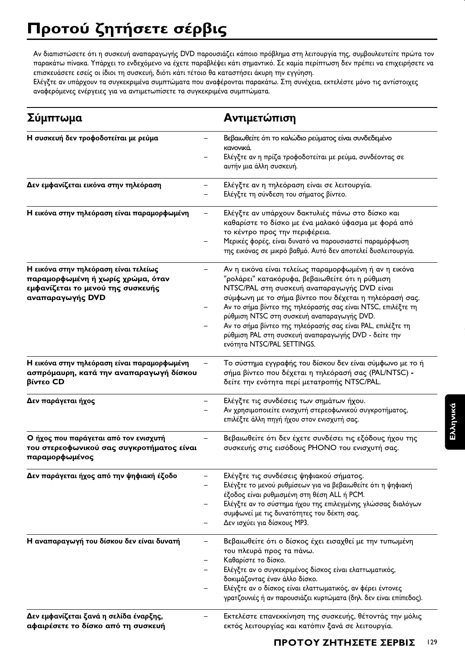Αν διαπιστώσετε ότι η συσκευή αναπαραγωγής DVD παρουσιάζει κάποιο πρόβλημα στη λειτουργία της, συμβουλευτείτε πρώτα τον παρακάτω πίνακα. Υπάρχει το ενδεχόμενο να έχετε παραβλέψει κάτι σημαντικό. Σε καμία περίπτωση δεν πρέπει να επιχειρήσετε να επισκευάσετε εσείς οι ίδιοι τη συσκευή, διότι κάτι τέτοιο θα καταστήσει άκυρη την εγγύηση.

Ελέγξτε αν υπάρχουν τα συγκεκριμένα συμπτώματα που αναφέρονται παρακάτω. Στη συνέχεια, εκτελέστε μόνο τις αντίστοιχες αναφερόμενες ενέργειες για να αντιμετωπίσετε τα συγκεκριμένα συμπτώματα.

| Σύμπτωμα                                                                                                                            | Αντιμετώπιση                                                                                                                                                                                                                                                                                                                                                                                                                                                                         |
|-------------------------------------------------------------------------------------------------------------------------------------|--------------------------------------------------------------------------------------------------------------------------------------------------------------------------------------------------------------------------------------------------------------------------------------------------------------------------------------------------------------------------------------------------------------------------------------------------------------------------------------|
| Η συσκευή δεν τροφοδοτείται με ρεύμα                                                                                                | Βεβαιωθείτε ότι το καλώδιο ρεύματος είναι συνδεδεμένο<br>κανονικά.<br>Ελέγξτε αν η πρίζα τροφοδοτείται με ρεύμα, συνδέοντας σε<br>αυτήν μια άλλη συσκευή.                                                                                                                                                                                                                                                                                                                            |
| Δεν εμφανίζεται εικόνα στην τηλεόραση                                                                                               | Ελέγξτε αν η τηλεόραση είναι σε λειτουργία.<br>Ελέγξτε τη σύνδεση του σήματος βίντεο.                                                                                                                                                                                                                                                                                                                                                                                                |
| Η εικόνα στην τηλεόραση είναι παραμορφωμένη                                                                                         | Ελέγξτε αν υπάρχουν δακτυλιές πάνω στο δίσκο και<br>καθαρίστε το δίσκο με ένα μαλακό ύφασμα με φορά από<br>το κέντρο προς την περιφέρεια.<br>Μερικές φορές, είναι δυνατό να παρουσιαστεί παραμόρφωση<br>της εικόνας σε μικρό βαθμό. Αυτό δεν αποτελεί δυσλειτουργία.                                                                                                                                                                                                                 |
| Η εικόνα στην τηλεόραση είναι τελείως<br>παραμορφωμένη ή χωρίς χρώμα, όταν<br>εμφανίζεται το μενού της συσκευής<br>αναπαραγωγής DVD | Αν η εικόνα είναι τελείως παραμορφωμένη ή αν η εικόνα<br>"ρολάρει" κατακόρυφα, βεβαιωθείτε ότι η ρύθμιση<br>NTSC/PAL στη συσκευή αναπαραγωγής DVD είναι<br>σύμφωνη με το σήμα βίντεο που δέχεται η τηλεόρασή σας.<br>Αν το σήμα βίντεο της τηλεόρασής σας είναι NTSC, επιλέξτε τη<br>ρύθμιση NTSC στη συσκευή αναπαραγωγής DVD.<br>Αν το σήμα βίντεο της τηλεόρασής σας είναι PAL, επιλέξτε τη<br>ρύθμιση PAL στη συσκευή αναπαραγωγής DVD - δείτε την<br>ενότητα NTSC/PAL SETTINGS. |
| Η εικόνα στην τηλεόραση είναι παραμορφωμένη<br>ασπρόμαυρη, κατά την αναπαραγωγή δίσκου<br>βίντεο CD                                 | Το σύστημα εγγραφής του δίσκου δεν είναι σύμφωνο με το ή<br>σήμα βίντεο που δέχεται η τηλεόρασή σας (PAL/NTSC) -<br>δείτε την ενότητα περί μετατροπής NTSC/PAL.                                                                                                                                                                                                                                                                                                                      |
| Δεν παράγεται ήχος                                                                                                                  | Ελέγξτε τις συνδέσεις των σημάτων ήχου.<br>Αν χρησιμοποιείτε ενισχυτή στερεοφωνικού συγκροτήματος,<br>επιλέξτε άλλη πηγή ήχου στον ενισχυτή σας.                                                                                                                                                                                                                                                                                                                                     |
| Ο ήχος που παράγεται από τον ενισχυτή<br>του στερεοφωνικού σας συγκροτήματος είναι<br>παραμορφωμένος                                | Βεβαιωθείτε ότι δεν έχετε συνδέσει τις εξόδους ήχου της<br>συσκευής στις εισόδους PHONO του ενισχυτή σας.                                                                                                                                                                                                                                                                                                                                                                            |
| Δεν παράγεται ήχος από την ψηφιακή έξοδο                                                                                            | Ελέγξτε τις συνδέσεις ψηφιακού σήματος.<br>Ελέγξτε το μενού ρυθμίσεων για να βεβαιωθείτε ότι η ψηφιακή<br>έξοδος είναι ρυθμισμένη στη θέση ALL ή PCM.<br>Ελέγξτε αν το σύστημα ήχου της επιλεγμένης γλώσσας διαλόγων<br>συμφωνεί με τις δυνατότητες του δέκτη σας.<br>Δεν ισχύει για δίσκους ΜΡ3.                                                                                                                                                                                    |
| Η αναπαραγωγή του δίσκου δεν είναι δυνατή                                                                                           | Βεβαιωθείτε ότι ο δίσκος έχει εισαχθεί με την τυπωμένη<br>του πλευρά προς τα πάνω.<br>Καθαρίστε το δίσκο.<br>Ελέγξτε αν ο συγκεκριμένος δίσκος είναι ελαττωματικός,<br>δοκιμάζοντας έναν άλλο δίσκο.<br>Ελέγξτε αν ο δίσκος είναι ελαττωματικός, αν φέρει έντονες<br>γρατζουνιές ή αν παρουσιάζει κυρτώματα (δηλ. δεν είναι επίπεδος).                                                                                                                                               |
| Δεν εμφανίζεται ξανά η σελίδα έναρξης,<br>αφαιρέσετε το δίσκο από τη συσκευή                                                        | Εκτελέστε επανεκκίνηση της συσκευής, θέτοντάς την μόλις<br>εκτός λειτουργίας και κατόπιν ξανά σε λειτουργία.                                                                                                                                                                                                                                                                                                                                                                         |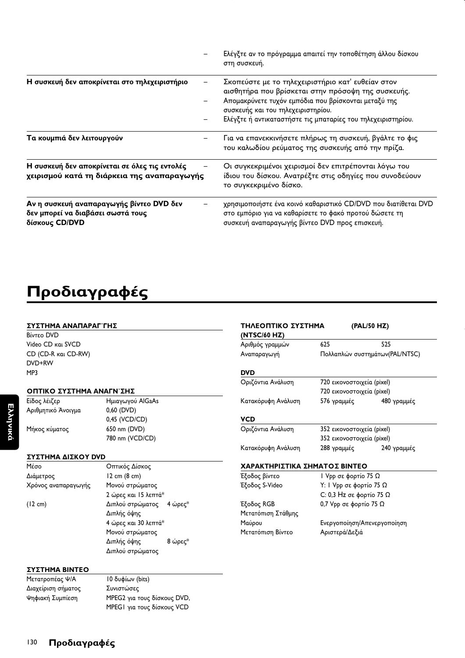|                                                                                                 | Ελέγξτε αν το πρόγραμμα απαιτεί την τοποθέτηση άλλου δίσκου<br>στη συσκευή.                                                                                                                                                                                           |
|-------------------------------------------------------------------------------------------------|-----------------------------------------------------------------------------------------------------------------------------------------------------------------------------------------------------------------------------------------------------------------------|
| Η συσκευή δεν αποκρίνεται στο τηλεχειριστήριο                                                   | Σκοπεύστε με το τηλεχειριστήριο κατ' ευθείαν στον<br>αισθητήρα που βρίσκεται στην πρόσοψη της συσκευής.<br>Απομακρύνετε τυχόν εμπόδια που βρίσκονται μεταξύ της<br>συσκευής και του τηλεχειριστηρίου.<br>Ελέγξτε ή αντικαταστήστε τις μπαταρίες του τηλεχειριστηρίου. |
| Τα κουμπιά δεν λειτουργούν                                                                      | Για να επανεκκινήσετε πλήρως τη συσκευή, βγάλτε το φις<br>του καλωδίου ρεύματος της συσκευής από την πρίζα.                                                                                                                                                           |
| Η συσκευή δεν αποκρίνεται σε όλες τις εντολές<br>χειρισμού κατά τη διάρκεια της αναπαραγωγής    | Οι συγκεκριμένοι χειρισμοί δεν επιτρέπονται λόγω του<br>ίδιου του δίσκου. Ανατρέξτε στις οδηγίες που συνοδεύουν<br>το συγκεκριμένο δίσκο.                                                                                                                             |
| Αν η συσκευή αναπαραγωγής βίντεο DVD δεν<br>δεν μπορεί να διαβάσει σωστά τους<br>δίσκους CD/DVD | χρησιμοποιήστε ένα κοινό καθαριστικό CD/DVD που διατίθεται DVD<br>στο εμπόριο για να καθαρίσετε το φακό προτού δώσετε τη<br>συσκευή αναπαραγωγής βίντεο DVD προς επισκευή.                                                                                            |

# **Προδιαγραφές**

#### $\Sigma$ ΥΣΤΗΜΑ ΑΝΑΠΑΡΑΓ**ΓΗ**Σ

**Bίντεο DVD** Video CD каі SVCD CD (CD-R και CD-RW) DVD+RW MP3

|       | ΟΠΤΙΚΟ ΣΥΣΤΗΜΑ ΑΝΑΓΝ ΣΗΣ |  |
|-------|--------------------------|--|
| ___ _ |                          |  |

Είδος λέιζερ Αριθμητικό Άνοι

## : @" 

0 AlGaAs 0,60 (DVD) 0,45 (VCD/CD) Μήκος κύματος 650 nm (DVD)

780 nm (VCD/CD)

### ΣΥΣΤΗΜΑ ΔΙΣΚΟΥ DVD

| Μέσο                | Οπτικός Δίσκος           |  |  |  |
|---------------------|--------------------------|--|--|--|
| Διάμετρος           | $12 \text{ cm}$ (8 cm)   |  |  |  |
| Χρόνος αναπαραγωγής | Μονού στρώματος          |  |  |  |
|                     | 2 ώρες και 15 λεπτά*     |  |  |  |
| $(12 \text{ cm})$   | Διπλού στρώματος 4 ώρες* |  |  |  |
|                     | Διπλής όψης              |  |  |  |
|                     | 4 ώρες και 30 λεπτά*     |  |  |  |
|                     | Μονού στρώματος          |  |  |  |
|                     | Διπλής όψης<br>8 ώρες*   |  |  |  |
|                     | Διπλού στρώματος         |  |  |  |
|                     |                          |  |  |  |

#### <u>ΣΥΣΤΗΜΑ ΒΙΝΤΕΟ</u>

| Μετατροπέας Ψ/Α    | 10 δυφίων (bits)            |
|--------------------|-----------------------------|
| Διαχείριση σήματος | Συνιστώσες                  |
| Ψηφιακή Συμπίεση   | MPEG2 για τους δίσκους DVD, |
|                    | MPEGI για τους δίσκους VCD  |

| ΤΗΛΕΟΠΤΙΚΟ ΣΥΣΤΗΜΑ<br>(NTSC/60 HZ) |                             | (PAL/50 HZ)                     |
|------------------------------------|-----------------------------|---------------------------------|
| Αριθμός γραμμών                    | 625                         | 525                             |
| Αναπαραγωγή                        |                             | Πολλαπλών συστημάτων (PAL/NTSC) |
| <b>DVD</b>                         |                             |                                 |
| Οριζόντια Ανάλυση                  | 720 εικονοστοιχεία (pixel)  |                                 |
|                                    | 720 εικονοστοιχεία (pixel)  |                                 |
| Κατακόρυφη Ανάλυση                 |                             | 576 γραμμές 680 γραμμές         |
| VCD                                |                             |                                 |
| Οριζόντια Ανάλυση                  | 352 εικονοστοιχεία (pixel)  |                                 |
|                                    | 352 εικονοστοιχεία (pixel)  |                                 |
| Κατακόρυφη Ανάλυση                 | 288 γραμμές                 | 240 γραμμές                     |
| ΧΑΡΑΚΤΗΡΙΣΤΙΚΑ ΣΗΜΑΤΟΣ ΒΙΝΤΕΟ      |                             |                                 |
| Έξοδος βίντεο                      | Ι Vpp σε φορτίο 75 Ω        |                                 |
| Έξοδος S-Video                     | Υ: I Vpp σε φορτίο 75 Ω     |                                 |
|                                    | C: 0,3 Hz σε φορτίο 75 Ω    |                                 |
| Έξοδος RGB                         | 0,7 Vpp σε φορτίο 75 Ω      |                                 |
| Μετατόπιση Στάθμης                 |                             |                                 |
| Μαύρου                             | Ενεργοποίηση/Απενεργοποίηση |                                 |
| Μετατόπιση Βίντεο                  | Αριστερά/Δεξιά              |                                 |